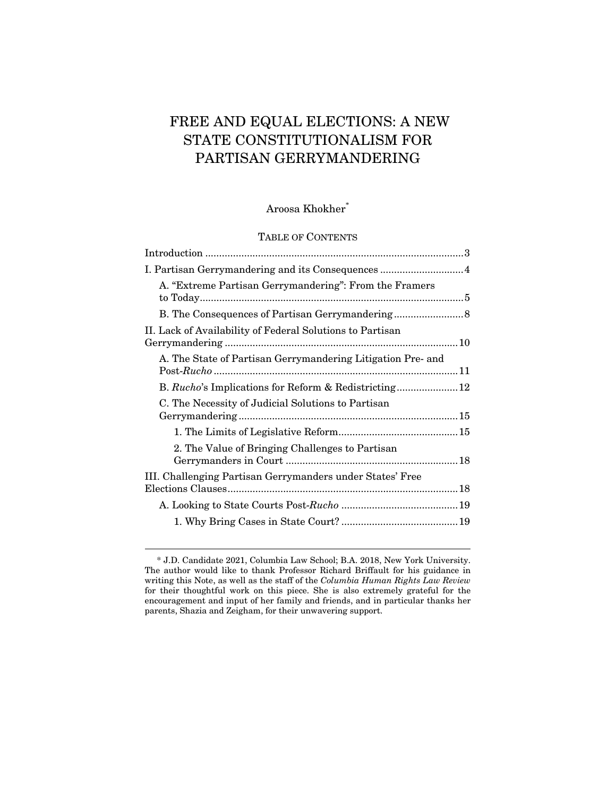# FREE AND EQUAL ELECTIONS: A NEW STATE CONSTITUTIONALISM FOR PARTISAN GERRYMANDERING

# Aroosa Khokher\*

#### TABLE OF CONTENTS

| I. Partisan Gerrymandering and its Consequences 4           |  |
|-------------------------------------------------------------|--|
| A. "Extreme Partisan Gerrymandering": From the Framers      |  |
| B. The Consequences of Partisan Gerrymandering              |  |
| II. Lack of Availability of Federal Solutions to Partisan   |  |
| A. The State of Partisan Gerrymandering Litigation Pre- and |  |
|                                                             |  |
| C. The Necessity of Judicial Solutions to Partisan          |  |
|                                                             |  |
| 2. The Value of Bringing Challenges to Partisan             |  |
| III. Challenging Partisan Gerrymanders under States' Free   |  |
|                                                             |  |
|                                                             |  |

<sup>\*</sup> J.D. Candidate 2021, Columbia Law School; B.A. 2018, New York University. The author would like to thank Professor Richard Briffault for his guidance in writing this Note, as well as the staff of the *Columbia Human Rights Law Review* for their thoughtful work on this piece. She is also extremely grateful for the encouragement and input of her family and friends, and in particular thanks her parents, Shazia and Zeigham, for their unwavering support.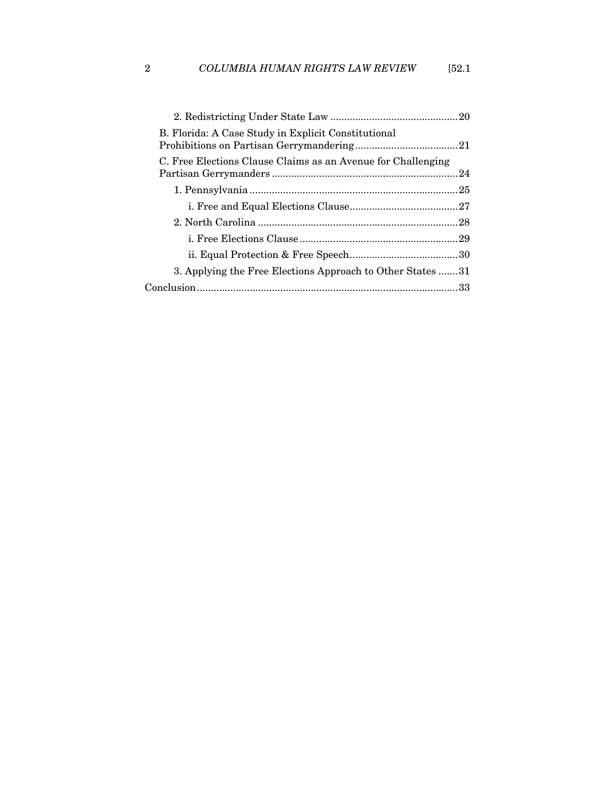| B. Florida: A Case Study in Explicit Constitutional          |  |
|--------------------------------------------------------------|--|
| C. Free Elections Clause Claims as an Avenue for Challenging |  |
|                                                              |  |
|                                                              |  |
|                                                              |  |
|                                                              |  |
|                                                              |  |
| 3. Applying the Free Elections Approach to Other States 31   |  |
|                                                              |  |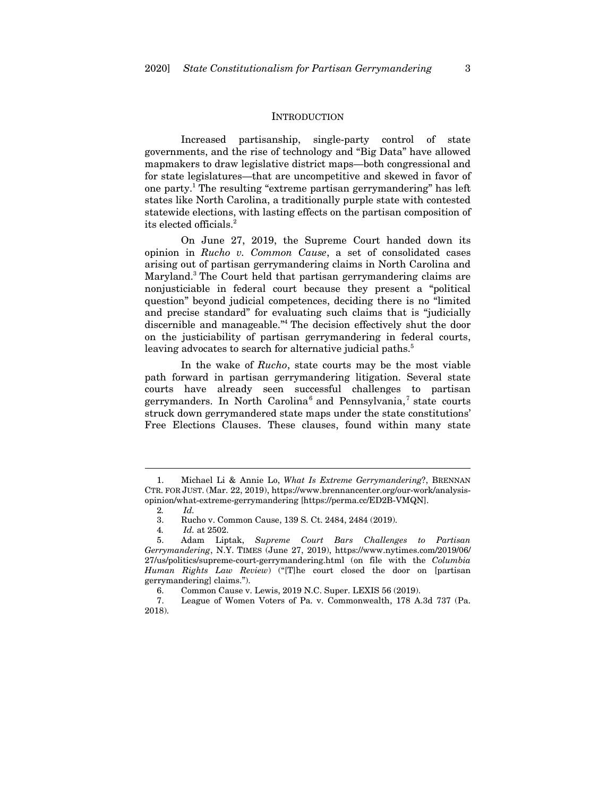#### **INTRODUCTION**

Increased partisanship, single-party control of state governments, and the rise of technology and "Big Data" have allowed mapmakers to draw legislative district maps—both congressional and for state legislatures—that are uncompetitive and skewed in favor of one party.1 The resulting "extreme partisan gerrymandering" has left states like North Carolina, a traditionally purple state with contested statewide elections, with lasting effects on the partisan composition of its elected officials.2

On June 27, 2019, the Supreme Court handed down its opinion in *Rucho v. Common Cause*, a set of consolidated cases arising out of partisan gerrymandering claims in North Carolina and Maryland.<sup>3</sup> The Court held that partisan gerrymandering claims are nonjusticiable in federal court because they present a "political question" beyond judicial competences, deciding there is no "limited and precise standard" for evaluating such claims that is "judicially discernible and manageable."4 The decision effectively shut the door on the justiciability of partisan gerrymandering in federal courts, leaving advocates to search for alternative judicial paths.<sup>5</sup>

In the wake of *Rucho*, state courts may be the most viable path forward in partisan gerrymandering litigation. Several state courts have already seen successful challenges to partisan gerrymanders. In North Carolina<sup>6</sup> and Pennsylvania,<sup>7</sup> state courts struck down gerrymandered state maps under the state constitutions' Free Elections Clauses. These clauses, found within many state

<sup>1.</sup> Michael Li & Annie Lo, *What Is Extreme Gerrymandering*?, BRENNAN CTR. FOR JUST. (Mar. 22, 2019), https://www.brennancenter.org/our-work/analysisopinion/what-extreme-gerrymandering [https://perma.cc/ED2B-VMQN].

<sup>2</sup>*. Id.*

<sup>3.</sup> Rucho v. Common Cause, 139 S. Ct. 2484, 2484 (2019).

<sup>4</sup>*. Id.* at 2502.

<sup>5.</sup> Adam Liptak, *Supreme Court Bars Challenges to Partisan Gerrymandering*, N.Y. TIMES (June 27, 2019), https://www.nytimes.com/2019/06/ 27/us/politics/supreme-court-gerrymandering.html (on file with the *Columbia Human Rights Law Review*) ("[T]he court closed the door on [partisan gerrymandering] claims.").

<sup>6.</sup> Common Cause v. Lewis, 2019 N.C. Super. LEXIS 56 (2019).

<sup>7.</sup> League of Women Voters of Pa. v. Commonwealth, 178 A.3d 737 (Pa. 2018).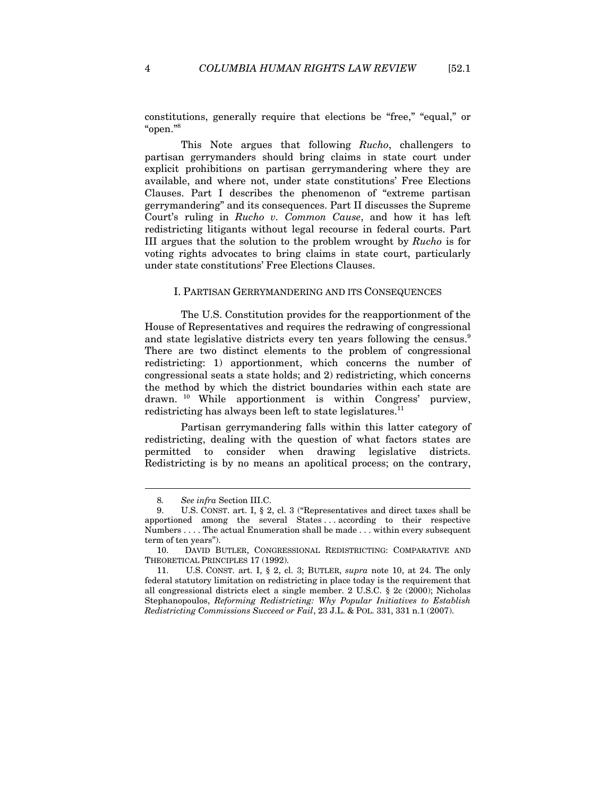constitutions, generally require that elections be "free," "equal," or "open."8

This Note argues that following *Rucho*, challengers to partisan gerrymanders should bring claims in state court under explicit prohibitions on partisan gerrymandering where they are available, and where not, under state constitutions' Free Elections Clauses. Part I describes the phenomenon of "extreme partisan gerrymandering" and its consequences. Part II discusses the Supreme Court's ruling in *Rucho v. Common Cause*, and how it has left redistricting litigants without legal recourse in federal courts. Part III argues that the solution to the problem wrought by *Rucho* is for voting rights advocates to bring claims in state court, particularly under state constitutions' Free Elections Clauses.

#### I. PARTISAN GERRYMANDERING AND ITS CONSEQUENCES

The U.S. Constitution provides for the reapportionment of the House of Representatives and requires the redrawing of congressional and state legislative districts every ten years following the census.<sup>9</sup> There are two distinct elements to the problem of congressional redistricting: 1) apportionment, which concerns the number of congressional seats a state holds; and 2) redistricting, which concerns the method by which the district boundaries within each state are drawn. 10 While apportionment is within Congress' purview, redistricting has always been left to state legislatures.<sup>11</sup>

Partisan gerrymandering falls within this latter category of redistricting, dealing with the question of what factors states are permitted to consider when drawing legislative districts. Redistricting is by no means an apolitical process; on the contrary,

<sup>8</sup>*. See infra* Section III.C.

<sup>9.</sup> U.S. CONST. art. I, § 2, cl. 3 ("Representatives and direct taxes shall be apportioned among the several States . . . according to their respective Numbers . . . . The actual Enumeration shall be made . . . within every subsequent term of ten years").

<sup>10.</sup> DAVID BUTLER, CONGRESSIONAL REDISTRICTING: COMPARATIVE AND THEORETICAL PRINCIPLES 17 (1992).

<sup>11.</sup> U.S. CONST. art. I, § 2, cl. 3; BUTLER, *supra* note 10, at 24. The only federal statutory limitation on redistricting in place today is the requirement that all congressional districts elect a single member. 2 U.S.C. § 2c (2000); Nicholas Stephanopoulos, *Reforming Redistricting: Why Popular Initiatives to Establish Redistricting Commissions Succeed or Fail*, 23 J.L. & POL. 331, 331 n.1 (2007).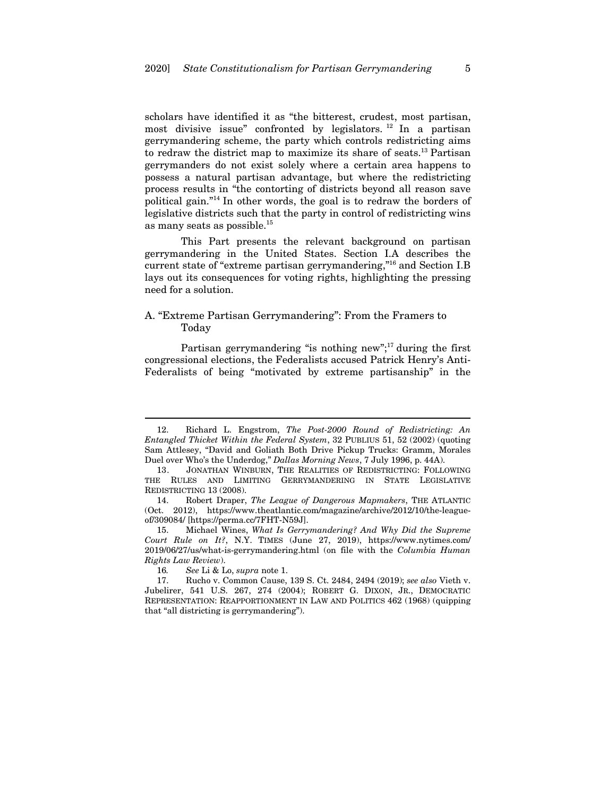scholars have identified it as "the bitterest, crudest, most partisan, most divisive issue" confronted by legislators.  $12 \text{ In a partial}$ gerrymandering scheme, the party which controls redistricting aims to redraw the district map to maximize its share of seats.13 Partisan gerrymanders do not exist solely where a certain area happens to possess a natural partisan advantage, but where the redistricting process results in "the contorting of districts beyond all reason save political gain."14 In other words, the goal is to redraw the borders of legislative districts such that the party in control of redistricting wins as many seats as possible.<sup>15</sup>

This Part presents the relevant background on partisan gerrymandering in the United States. Section I.A describes the current state of "extreme partisan gerrymandering,"16 and Section I.B lays out its consequences for voting rights, highlighting the pressing need for a solution.

## A. "Extreme Partisan Gerrymandering": From the Framers to Today

Partisan gerrymandering "is nothing new";<sup>17</sup> during the first congressional elections, the Federalists accused Patrick Henry's Anti-Federalists of being "motivated by extreme partisanship" in the

<sup>12.</sup> Richard L. Engstrom, *The Post-2000 Round of Redistricting: An Entangled Thicket Within the Federal System*, 32 PUBLIUS 51, 52 (2002) (quoting Sam Attlesey, "David and Goliath Both Drive Pickup Trucks: Gramm, Morales Duel over Who's the Underdog," *Dallas Morning News*, 7 July 1996, p. 44A).

<sup>13.</sup> JONATHAN WINBURN, THE REALITIES OF REDISTRICTING: FOLLOWING THE RULES AND LIMITING GERRYMANDERING IN STATE LEGISLATIVE REDISTRICTING 13 (2008).

<sup>14.</sup> Robert Draper, *The League of Dangerous Mapmakers*, THE ATLANTIC (Oct. 2012), https://www.theatlantic.com/magazine/archive/2012/10/the-leagueof/309084/ [https://perma.cc/7FHT-N59J].

<sup>15.</sup> Michael Wines, *What Is Gerrymandering? And Why Did the Supreme Court Rule on It?*, N.Y. TIMES (June 27, 2019), https://www.nytimes.com/ 2019/06/27/us/what-is-gerrymandering.html (on file with the *Columbia Human Rights Law Review*).

<sup>16</sup>*. See* Li & Lo, *supra* note 1.

<sup>17.</sup> Rucho v. Common Cause, 139 S. Ct. 2484, 2494 (2019); *see also* Vieth v. Jubelirer, 541 U.S. 267, 274 (2004); ROBERT G. DIXON, JR., DEMOCRATIC REPRESENTATION: REAPPORTIONMENT IN LAW AND POLITICS 462 (1968) (quipping that "all districting is gerrymandering").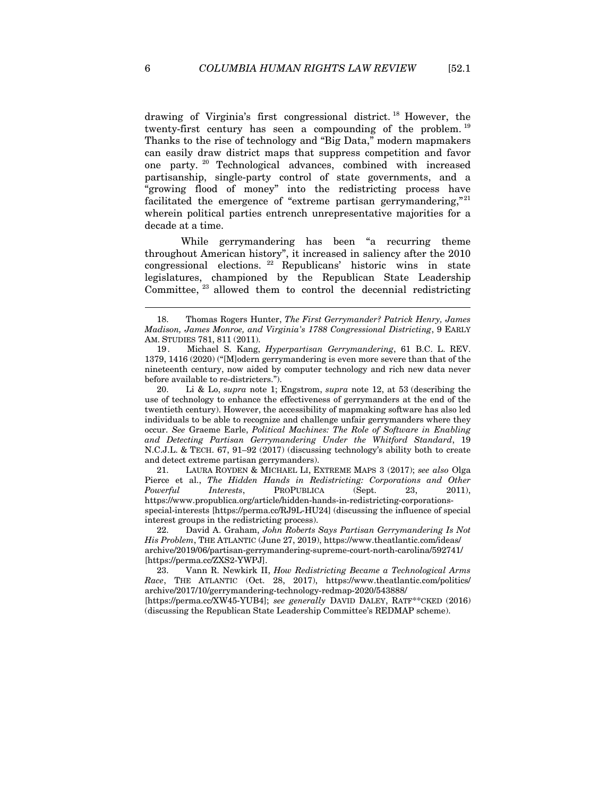drawing of Virginia's first congressional district. 18 However, the twenty-first century has seen a compounding of the problem. <sup>19</sup> Thanks to the rise of technology and "Big Data," modern mapmakers can easily draw district maps that suppress competition and favor one party. 20 Technological advances, combined with increased partisanship, single-party control of state governments, and a "growing flood of money" into the redistricting process have facilitated the emergence of "extreme partisan gerrymandering,"<sup>21</sup> wherein political parties entrench unrepresentative majorities for a decade at a time.

While gerrymandering has been "a recurring theme throughout American history", it increased in saliency after the 2010  $congressional$  elections. <sup>22</sup> Republicans' historic wins in state legislatures, championed by the Republican State Leadership Committee,  $^{23}$  allowed them to control the decennial redistricting

20. Li & Lo, *supra* note 1; Engstrom, *supra* note 12, at 53 (describing the use of technology to enhance the effectiveness of gerrymanders at the end of the twentieth century). However, the accessibility of mapmaking software has also led individuals to be able to recognize and challenge unfair gerrymanders where they occur. *See* Graeme Earle, *Political Machines: The Role of Software in Enabling and Detecting Partisan Gerrymandering Under the Whitford Standard*, 19 N.C.J.L. & TECH. 67, 91–92 (2017) (discussing technology's ability both to create and detect extreme partisan gerrymanders).

21. LAURA ROYDEN & MICHAEL LI, EXTREME MAPS 3 (2017); *see also* Olga Pierce et al., *The Hidden Hands in Redistricting: Corporations and Other Powerful Interests*, PROPUBLICA (Sept. 23, 2011), https://www.propublica.org/article/hidden-hands-in-redistricting-corporationsspecial-interests [https://perma.cc/RJ9L-HU24] (discussing the influence of special interest groups in the redistricting process).

22. David A. Graham, *John Roberts Says Partisan Gerrymandering Is Not His Problem*, THE ATLANTIC (June 27, 2019), https://www.theatlantic.com/ideas/ archive/2019/06/partisan-gerrymandering-supreme-court-north-carolina/592741/ [https://perma.cc/ZXS2-YWPJ].

23. Vann R. Newkirk II, *How Redistricting Became a Technological Arms Race*, THE ATLANTIC (Oct. 28, 2017), https://www.theatlantic.com/politics/ archive/2017/10/gerrymandering-technology-redmap-2020/543888/ [https://perma.cc/XW45-YUB4]; *see generally* DAVID DALEY, RATF\*\*CKED (2016)

(discussing the Republican State Leadership Committee's REDMAP scheme).

<sup>18.</sup> Thomas Rogers Hunter, *The First Gerrymander? Patrick Henry, James Madison, James Monroe, and Virginia's 1788 Congressional Districting*, 9 EARLY AM. STUDIES 781, 811 (2011).

<sup>19 .</sup> Michael S. Kang, *Hyperpartisan Gerrymandering*, 61 B.C. L. REV. 1379, 1416 (2020) ("[M]odern gerrymandering is even more severe than that of the nineteenth century, now aided by computer technology and rich new data never before available to re-districters.").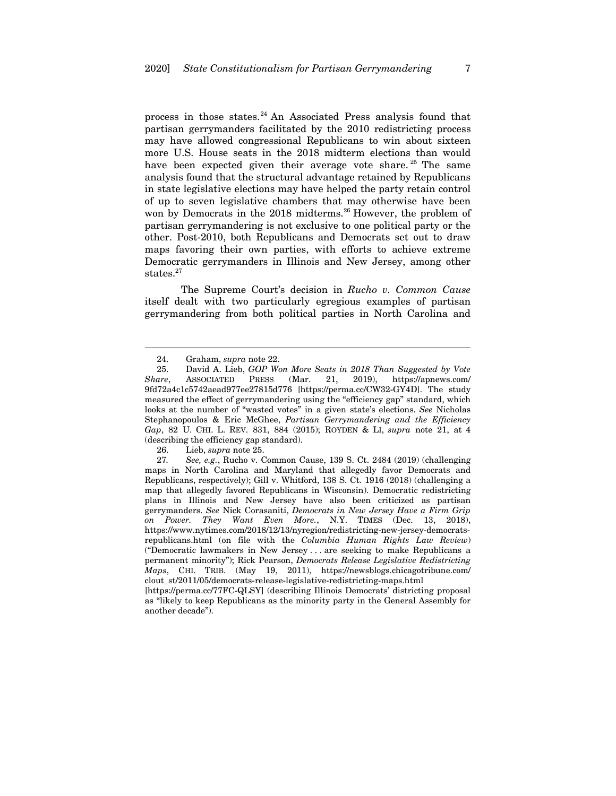process in those states. $24$  An Associated Press analysis found that partisan gerrymanders facilitated by the 2010 redistricting process may have allowed congressional Republicans to win about sixteen more U.S. House seats in the 2018 midterm elections than would have been expected given their average vote share.<sup>25</sup> The same analysis found that the structural advantage retained by Republicans in state legislative elections may have helped the party retain control of up to seven legislative chambers that may otherwise have been won by Democrats in the 2018 midterms.<sup>26</sup> However, the problem of partisan gerrymandering is not exclusive to one political party or the other. Post-2010, both Republicans and Democrats set out to draw maps favoring their own parties, with efforts to achieve extreme Democratic gerrymanders in Illinois and New Jersey, among other states.<sup>27</sup>

The Supreme Court's decision in *Rucho v. Common Cause*  itself dealt with two particularly egregious examples of partisan gerrymandering from both political parties in North Carolina and

 $\overline{a}$ 

26. Lieb, *supra* note 25.

<sup>24.</sup> Graham, *supra* note 22.

<sup>25.</sup> David A. Lieb, *GOP Won More Seats in 2018 Than Suggested by Vote Share*, ASSOCIATED PRESS (Mar. 21, 2019), https://apnews.com/ 9fd72a4c1c5742aead977ee27815d776 [https://perma.cc/CW32-GY4D]. The study measured the effect of gerrymandering using the "efficiency gap" standard, which looks at the number of "wasted votes" in a given state's elections. *See* Nicholas Stephanopoulos & Eric McGhee, *Partisan Gerrymandering and the Efficiency Gap*, 82 U. CHI. L. REV. 831, 884 (2015); ROYDEN & LI, *supra* note 21, at 4 (describing the efficiency gap standard).

<sup>27</sup>*. See, e.g.*, Rucho v. Common Cause, 139 S. Ct. 2484 (2019) (challenging maps in North Carolina and Maryland that allegedly favor Democrats and Republicans, respectively); Gill v. Whitford, 138 S. Ct. 1916 (2018) (challenging a map that allegedly favored Republicans in Wisconsin). Democratic redistricting plans in Illinois and New Jersey have also been criticized as partisan gerrymanders. *See* Nick Corasaniti, *Democrats in New Jersey Have a Firm Grip on Power. They Want Even More.*, N.Y. TIMES (Dec. 13, 2018), https://www.nytimes.com/2018/12/13/nyregion/redistricting-new-jersey-democratsrepublicans.html (on file with the *Columbia Human Rights Law Review*) ("Democratic lawmakers in New Jersey . . . are seeking to make Republicans a permanent minority"); Rick Pearson, *Democrats Release Legislative Redistricting Maps*, CHI. TRIB. (May 19, 2011), https://newsblogs.chicagotribune.com/ clout\_st/2011/05/democrats-release-legislative-redistricting-maps.html

<sup>[</sup>https://perma.cc/77FC-QLSY] (describing Illinois Democrats' districting proposal as "likely to keep Republicans as the minority party in the General Assembly for another decade").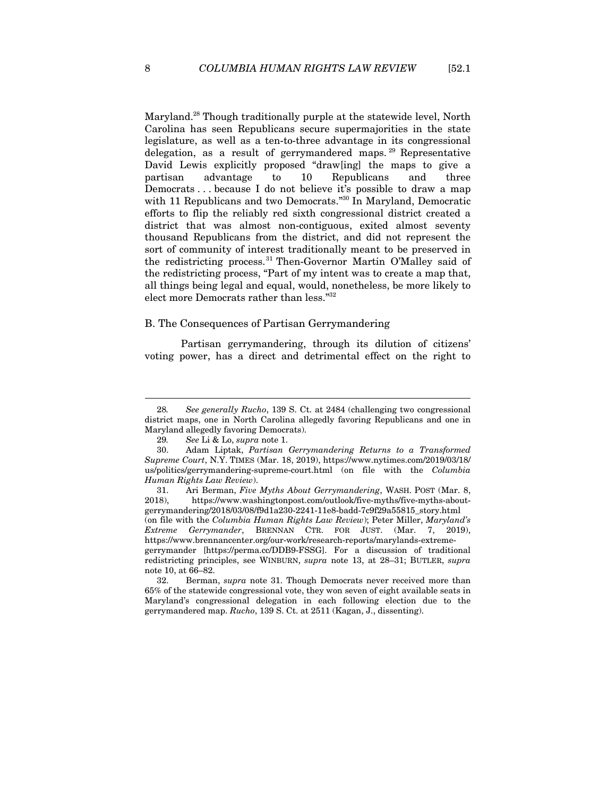Maryland.<sup>28</sup> Though traditionally purple at the statewide level, North Carolina has seen Republicans secure supermajorities in the state legislature, as well as a ten-to-three advantage in its congressional delegation, as a result of gerrymandered maps. 29 Representative David Lewis explicitly proposed "draw[ing] the maps to give a partisan advantage to 10 Republicans and three Democrats . . . because I do not believe it's possible to draw a map with 11 Republicans and two Democrats."<sup>30</sup> In Maryland, Democratic efforts to flip the reliably red sixth congressional district created a district that was almost non-contiguous, exited almost seventy thousand Republicans from the district, and did not represent the sort of community of interest traditionally meant to be preserved in the redistricting process.31 Then-Governor Martin O'Malley said of the redistricting process, "Part of my intent was to create a map that, all things being legal and equal, would, nonetheless, be more likely to elect more Democrats rather than less."32

#### B. The Consequences of Partisan Gerrymandering

Partisan gerrymandering, through its dilution of citizens' voting power, has a direct and detrimental effect on the right to

<sup>28</sup>*. See generally Rucho*, 139 S. Ct. at 2484 (challenging two congressional district maps, one in North Carolina allegedly favoring Republicans and one in Maryland allegedly favoring Democrats).

<sup>29</sup>*. See* Li & Lo, *supra* note 1.

<sup>30.</sup> Adam Liptak, *Partisan Gerrymandering Returns to a Transformed Supreme Court*, N.Y. TIMES (Mar. 18, 2019), https://www.nytimes.com/2019/03/18/ us/politics/gerrymandering-supreme-court.html (on file with the *Columbia Human Rights Law Review*).

<sup>31.</sup> Ari Berman, *Five Myths About Gerrymandering*, WASH. POST (Mar. 8, 2018). https://www.washingtonpost.com/outlook/five-myths/five-myths-abouthttps://www.washingtonpost.com/outlook/five-myths/five-myths-aboutgerrymandering/2018/03/08/f9d1a230-2241-11e8-badd-7c9f29a55815\_story.html

<sup>(</sup>on file with the *Columbia Human Rights Law Review*); Peter Miller, *Maryland's Extreme Gerrymander*, BRENNAN CTR. FOR JUST. (Mar. 7, 2019), https://www.brennancenter.org/our-work/research-reports/marylands-extremegerrymander [https://perma.cc/DDB9-FSSG]. For a discussion of traditional redistricting principles, see WINBURN, *supra* note 13, at 28–31; BUTLER, *supra* note 10, at 66–82.

<sup>32.</sup> Berman, *supra* note 31. Though Democrats never received more than 65% of the statewide congressional vote, they won seven of eight available seats in Maryland's congressional delegation in each following election due to the gerrymandered map. *Rucho*, 139 S. Ct. at 2511 (Kagan, J., dissenting).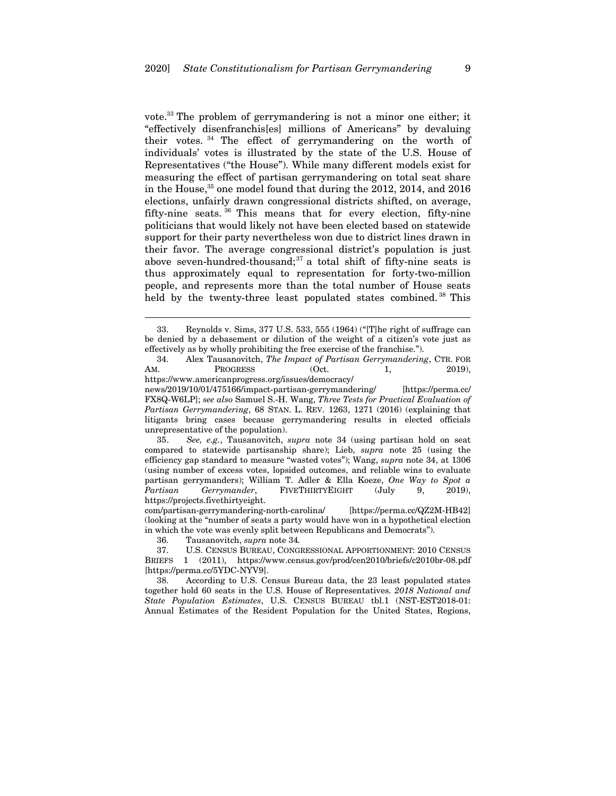vote.33 The problem of gerrymandering is not a minor one either; it "effectively disenfranchis[es] millions of Americans" by devaluing their votes. 34 The effect of gerrymandering on the worth of individuals' votes is illustrated by the state of the U.S. House of Representatives ("the House"). While many different models exist for measuring the effect of partisan gerrymandering on total seat share in the House, $35$  one model found that during the 2012, 2014, and 2016 elections, unfairly drawn congressional districts shifted, on average, fifty-nine seats. 36 This means that for every election, fifty-nine politicians that would likely not have been elected based on statewide support for their party nevertheless won due to district lines drawn in their favor. The average congressional district's population is just above seven-hundred-thousand;<sup>37</sup> a total shift of fifty-nine seats is thus approximately equal to representation for forty-two-million people, and represents more than the total number of House seats held by the twenty-three least populated states combined.<sup>38</sup> This

35*. See, e.g.*, Tausanovitch, *supra* note 34 (using partisan hold on seat compared to statewide partisanship share); Lieb, *supra* note 25 (using the efficiency gap standard to measure "wasted votes"); Wang, *supra* note 34, at 1306 (using number of excess votes, lopsided outcomes, and reliable wins to evaluate partisan gerrymanders); William T. Adler & Ella Koeze, *One Way to Spot a Partisan Gerrymander*, FIVETHIRTYEIGHT (July 9, 2019), https://projects.fivethirtyeight.

com/partisan-gerrymandering-north-carolina/ [https://perma.cc/QZ2M-HB42] (looking at the "number of seats a party would have won in a hypothetical election in which the vote was evenly split between Republicans and Democrats").

36. Tausanovitch, *supra* note 34*.*

 $\overline{a}$ 

37. U.S. CENSUS BUREAU, CONGRESSIONAL APPORTIONMENT: 2010 CENSUS BRIEFS 1 (2011), https://www.census.gov/prod/cen2010/briefs/c2010br-08.pdf [https://perma.cc/5YDC-NYV9].

38. According to U.S. Census Bureau data, the 23 least populated states together hold 60 seats in the U.S. House of Representatives. *2018 National and State Population Estimates*, U.S. CENSUS BUREAU tbl.1 (NST-EST2018-01: Annual Estimates of the Resident Population for the United States, Regions,

<sup>33.</sup> Reynolds v. Sims, 377 U.S. 533, 555 (1964) ("[T]he right of suffrage can be denied by a debasement or dilution of the weight of a citizen's vote just as effectively as by wholly prohibiting the free exercise of the franchise.").

<sup>34.</sup> Alex Tausanovitch, *The Impact of Partisan Gerrymandering*, CTR. FOR AM. PROGRESS (Oct. 1, 2019), https://www.americanprogress.org/issues/democracy/ news/2019/10/01/475166/impact-partisan-gerrymandering/ [https://perma.cc/ FX8Q-W6LP]; *see also* Samuel S.-H. Wang, *Three Tests for Practical Evaluation of Partisan Gerrymandering*, 68 STAN. L. REV. 1263, 1271 (2016) (explaining that litigants bring cases because gerrymandering results in elected officials unrepresentative of the population).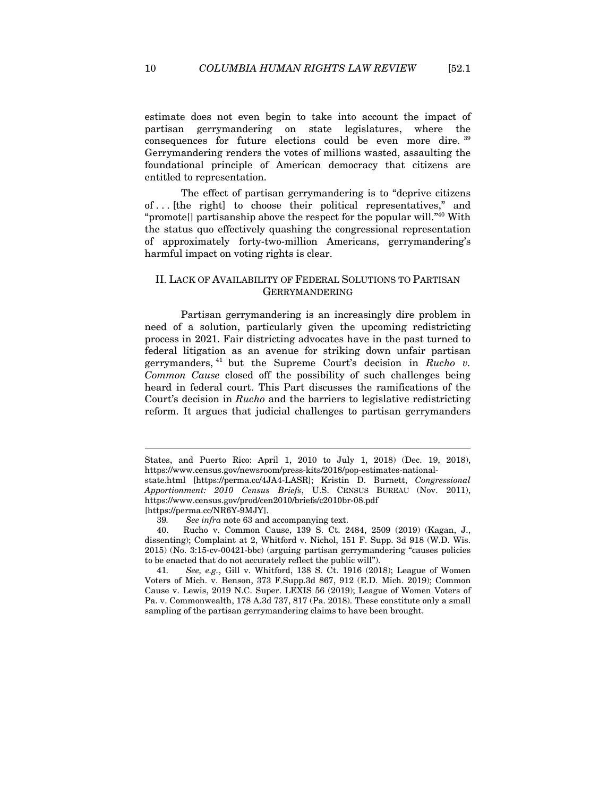estimate does not even begin to take into account the impact of partisan gerrymandering on state legislatures, where the consequences for future elections could be even more dire. <sup>39</sup> Gerrymandering renders the votes of millions wasted, assaulting the foundational principle of American democracy that citizens are entitled to representation.

The effect of partisan gerrymandering is to "deprive citizens of . . . [the right] to choose their political representatives," and "promote[] partisanship above the respect for the popular will."40 With the status quo effectively quashing the congressional representation of approximately forty-two-million Americans, gerrymandering's harmful impact on voting rights is clear.

## II. LACK OF AVAILABILITY OF FEDERAL SOLUTIONS TO PARTISAN GERRYMANDERING

Partisan gerrymandering is an increasingly dire problem in need of a solution, particularly given the upcoming redistricting process in 2021. Fair districting advocates have in the past turned to federal litigation as an avenue for striking down unfair partisan gerrymanders, 41 but the Supreme Court's decision in *Rucho v. Common Cause* closed off the possibility of such challenges being heard in federal court. This Part discusses the ramifications of the Court's decision in *Rucho* and the barriers to legislative redistricting reform. It argues that judicial challenges to partisan gerrymanders

[https://perma.cc/NR6Y-9MJY].

 $\overline{a}$ 

41*. See, e.g.*, Gill v. Whitford, 138 S. Ct. 1916 (2018); League of Women Voters of Mich. v. Benson, 373 F.Supp.3d 867, 912 (E.D. Mich. 2019); Common Cause v. Lewis, 2019 N.C. Super. LEXIS 56 (2019); League of Women Voters of Pa. v. Commonwealth, 178 A.3d 737, 817 (Pa. 2018). These constitute only a small sampling of the partisan gerrymandering claims to have been brought.

States, and Puerto Rico: April 1, 2010 to July 1, 2018) (Dec. 19, 2018), https://www.census.gov/newsroom/press-kits/2018/pop-estimates-national-

state.html [https://perma.cc/4JA4-LASR]; Kristin D. Burnett, *Congressional Apportionment: 2010 Census Briefs*, U.S. CENSUS BUREAU (Nov. 2011), https://www.census.gov/prod/cen2010/briefs/c2010br-08.pdf

<sup>39</sup>*. See infra* note 63 and accompanying text.

<sup>40.</sup> Rucho v. Common Cause, 139 S. Ct. 2484, 2509 (2019) (Kagan, J., dissenting); Complaint at 2, Whitford v. Nichol, 151 F. Supp. 3d 918 (W.D. Wis. 2015) (No. 3:15-cv-00421-bbc) (arguing partisan gerrymandering "causes policies to be enacted that do not accurately reflect the public will").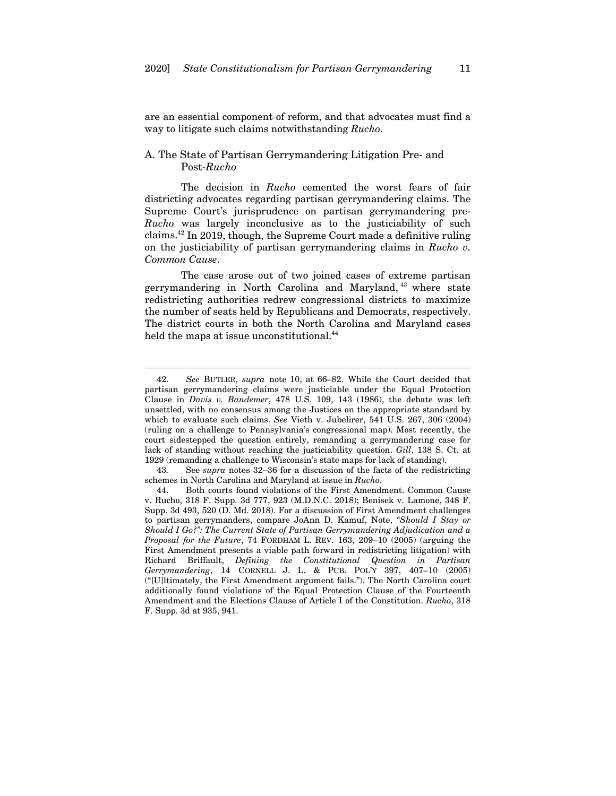are an essential component of reform, and that advocates must find a way to litigate such claims notwithstanding *Rucho*.

## A. The State of Partisan Gerrymandering Litigation Pre- and Post-*Rucho*

The decision in *Rucho* cemented the worst fears of fair districting advocates regarding partisan gerrymandering claims. The Supreme Court's jurisprudence on partisan gerrymandering pre-*Rucho* was largely inconclusive as to the justiciability of such claims.42 In 2019, though, the Supreme Court made a definitive ruling on the justiciability of partisan gerrymandering claims in *Rucho v. Common Cause*.

The case arose out of two joined cases of extreme partisan gerrymandering in North Carolina and Maryland, 43 where state redistricting authorities redrew congressional districts to maximize the number of seats held by Republicans and Democrats, respectively. The district courts in both the North Carolina and Maryland cases held the maps at issue unconstitutional.<sup>44</sup>

<sup>42</sup>*. See* BUTLER, *supra* note 10, at 66–82. While the Court decided that partisan gerrymandering claims were justiciable under the Equal Protection Clause in *Davis v. Bandemer*, 478 U.S. 109, 143 (1986), the debate was left unsettled, with no consensus among the Justices on the appropriate standard by which to evaluate such claims. *See* Vieth v. Jubelirer, 541 U.S. 267, 306 (2004) (ruling on a challenge to Pennsylvania's congressional map). Most recently, the court sidestepped the question entirely, remanding a gerrymandering case for lack of standing without reaching the justiciability question. *Gill*, 138 S. Ct. at 1929 (remanding a challenge to Wisconsin's state maps for lack of standing).

<sup>43</sup>*.* See *supra* notes 32–36 for a discussion of the facts of the redistricting schemes in North Carolina and Maryland at issue in *Rucho*.

<sup>44.</sup> Both courts found violations of the First Amendment. Common Cause v. Rucho, 318 F. Supp. 3d 777, 923 (M.D.N.C. 2018); Benisek v. Lamone, 348 F. Supp. 3d 493, 520 (D. Md. 2018). For a discussion of First Amendment challenges to partisan gerrymanders, compare JoAnn D. Kamuf, Note, *"Should I Stay or Should I Go?": The Current State of Partisan Gerrymandering Adjudication and a Proposal for the Future*, 74 FORDHAM L. REV. 163, 209–10 (2005) (arguing the First Amendment presents a viable path forward in redistricting litigation) with Richard Briffault, *Defining the Constitutional Question in Partisan Gerrymandering*, 14 CORNELL J. L. & PUB. POL'Y 397, 407–10 (2005) ("[U]ltimately, the First Amendment argument fails."). The North Carolina court additionally found violations of the Equal Protection Clause of the Fourteenth Amendment and the Elections Clause of Article I of the Constitution. *Rucho*, 318 F. Supp. 3d at 935, 941.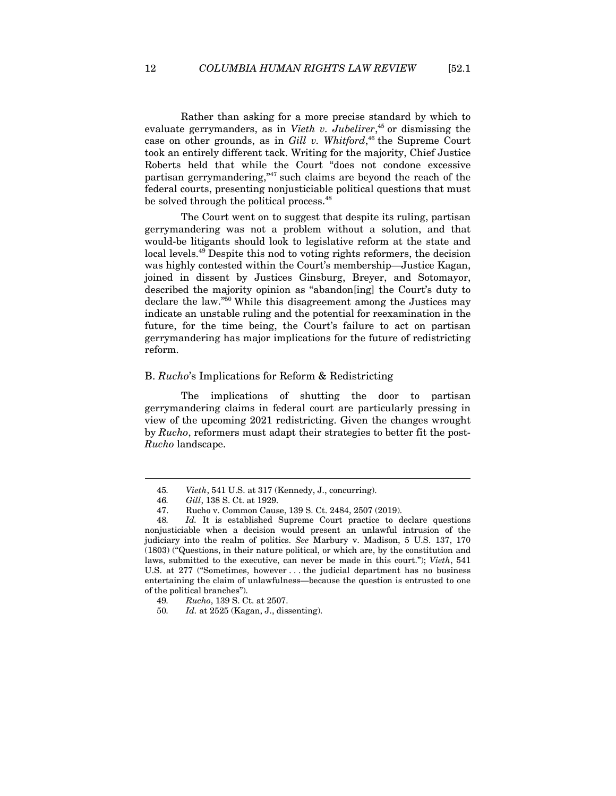Rather than asking for a more precise standard by which to evaluate gerrymanders, as in *Vieth v. Jubelirer*, 45 or dismissing the case on other grounds, as in *Gill v. Whitford*, 46 the Supreme Court took an entirely different tack. Writing for the majority, Chief Justice Roberts held that while the Court "does not condone excessive partisan gerrymandering,"47 such claims are beyond the reach of the federal courts, presenting nonjusticiable political questions that must be solved through the political process.<sup>48</sup>

The Court went on to suggest that despite its ruling, partisan gerrymandering was not a problem without a solution, and that would-be litigants should look to legislative reform at the state and local levels.49 Despite this nod to voting rights reformers, the decision was highly contested within the Court's membership—Justice Kagan, joined in dissent by Justices Ginsburg, Breyer, and Sotomayor, described the majority opinion as "abandon[ing] the Court's duty to declare the law."50 While this disagreement among the Justices may indicate an unstable ruling and the potential for reexamination in the future, for the time being, the Court's failure to act on partisan gerrymandering has major implications for the future of redistricting reform.

#### B. *Rucho*'s Implications for Reform & Redistricting

The implications of shutting the door to partisan gerrymandering claims in federal court are particularly pressing in view of the upcoming 2021 redistricting. Given the changes wrought by *Rucho*, reformers must adapt their strategies to better fit the post-*Rucho* landscape.

<sup>45</sup>*. Vieth*, 541 U.S. at 317 (Kennedy, J., concurring).

<sup>46</sup>*. Gill*, 138 S. Ct. at 1929.

<sup>47.</sup> Rucho v. Common Cause, 139 S. Ct. 2484, 2507 (2019).

<sup>48</sup>*. Id.* It is established Supreme Court practice to declare questions nonjusticiable when a decision would present an unlawful intrusion of the judiciary into the realm of politics. *See* Marbury v. Madison, 5 U.S. 137, 170 (1803) ("Questions, in their nature political, or which are, by the constitution and laws, submitted to the executive, can never be made in this court."); *Vieth*, 541 U.S. at 277 ("Sometimes, however . . . the judicial department has no business entertaining the claim of unlawfulness—because the question is entrusted to one of the political branches").

<sup>49</sup>*. Rucho*, 139 S. Ct. at 2507.

<sup>50</sup>*. Id.* at 2525 (Kagan, J., dissenting).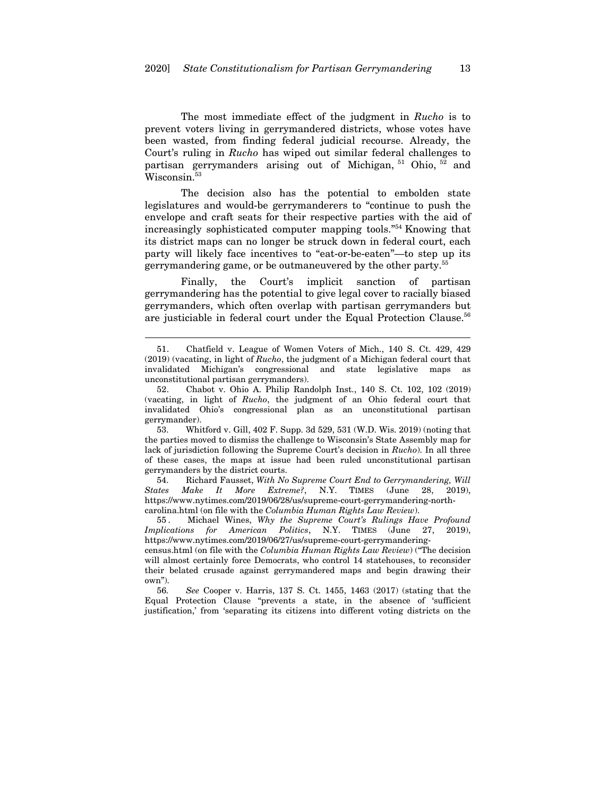The most immediate effect of the judgment in *Rucho* is to prevent voters living in gerrymandered districts, whose votes have been wasted, from finding federal judicial recourse. Already, the Court's ruling in *Rucho* has wiped out similar federal challenges to partisan gerrymanders arising out of Michigan, 51 Ohio, 52 and Wisconsin.<sup>53</sup>

The decision also has the potential to embolden state legislatures and would-be gerrymanderers to "continue to push the envelope and craft seats for their respective parties with the aid of increasingly sophisticated computer mapping tools."54 Knowing that its district maps can no longer be struck down in federal court, each party will likely face incentives to "eat-or-be-eaten"—to step up its gerrymandering game, or be outmaneuvered by the other party.55

Finally, the Court's implicit sanction of partisan gerrymandering has the potential to give legal cover to racially biased gerrymanders, which often overlap with partisan gerrymanders but are justiciable in federal court under the Equal Protection Clause.56

 $\overline{a}$ 

53. Whitford v. Gill, 402 F. Supp. 3d 529, 531 (W.D. Wis. 2019) (noting that the parties moved to dismiss the challenge to Wisconsin's State Assembly map for lack of jurisdiction following the Supreme Court's decision in *Rucho*). In all three of these cases, the maps at issue had been ruled unconstitutional partisan gerrymanders by the district courts.

54. Richard Fausset, *With No Supreme Court End to Gerrymandering, Will States Make It More Extreme?*, N.Y. TIMES (June 28, 2019), https://www.nytimes.com/2019/06/28/us/supreme-court-gerrymandering-northcarolina.html (on file with the *Columbia Human Rights Law Review*).

55 . Michael Wines, *Why the Supreme Court's Rulings Have Profound Implications for American Politics*, N.Y. TIMES (June 27, 2019), https://www.nytimes.com/2019/06/27/us/supreme-court-gerrymandering-

census.html (on file with the *Columbia Human Rights Law Review*) ("The decision will almost certainly force Democrats, who control 14 statehouses, to reconsider their belated crusade against gerrymandered maps and begin drawing their own").

56*. See* Cooper v. Harris, 137 S. Ct. 1455, 1463 (2017) (stating that the Equal Protection Clause "prevents a state, in the absence of 'sufficient justification,' from 'separating its citizens into different voting districts on the

<sup>51.</sup> Chatfield v. League of Women Voters of Mich., 140 S. Ct. 429, 429 (2019) (vacating, in light of *Rucho*, the judgment of a Michigan federal court that invalidated Michigan's congressional and state legislative maps as unconstitutional partisan gerrymanders).

<sup>52.</sup> Chabot v. Ohio A. Philip Randolph Inst., 140 S. Ct. 102, 102 (2019) (vacating, in light of *Rucho*, the judgment of an Ohio federal court that invalidated Ohio's congressional plan as an unconstitutional partisan gerrymander).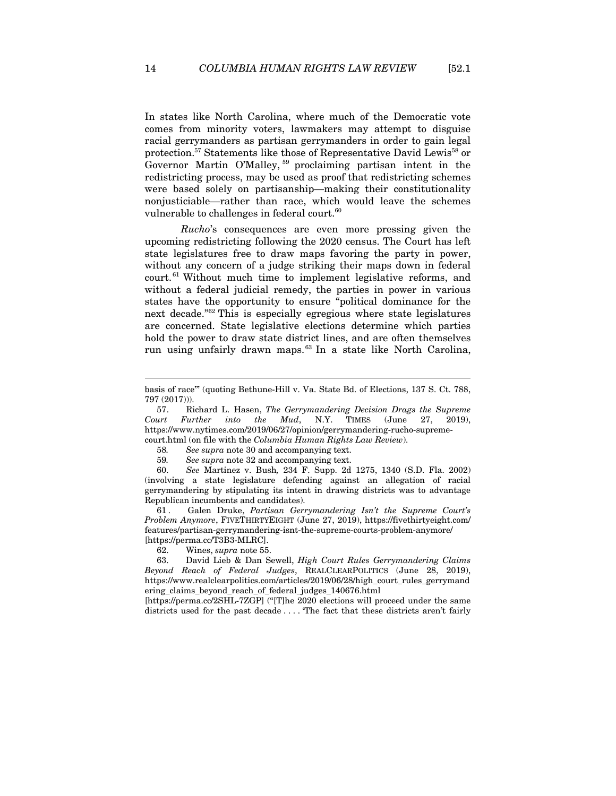In states like North Carolina, where much of the Democratic vote comes from minority voters, lawmakers may attempt to disguise racial gerrymanders as partisan gerrymanders in order to gain legal protection.<sup>57</sup> Statements like those of Representative David Lewis<sup>58</sup> or Governor Martin O'Malley, 59 proclaiming partisan intent in the redistricting process, may be used as proof that redistricting schemes were based solely on partisanship—making their constitutionality nonjusticiable—rather than race, which would leave the schemes vulnerable to challenges in federal court.<sup>60</sup>

*Rucho*'s consequences are even more pressing given the upcoming redistricting following the 2020 census. The Court has left state legislatures free to draw maps favoring the party in power, without any concern of a judge striking their maps down in federal court. 61 Without much time to implement legislative reforms, and without a federal judicial remedy, the parties in power in various states have the opportunity to ensure "political dominance for the next decade."62 This is especially egregious where state legislatures are concerned. State legislative elections determine which parties hold the power to draw state district lines, and are often themselves run using unfairly drawn maps.63 In a state like North Carolina,

58*. See supra* note 30 and accompanying text.

59*. See supra* note 32 and accompanying text.

60*. See* Martinez v. Bush*,* 234 F. Supp. 2d 1275, 1340 (S.D. Fla. 2002) (involving a state legislature defending against an allegation of racial gerrymandering by stipulating its intent in drawing districts was to advantage Republican incumbents and candidates).

61 . Galen Druke, *Partisan Gerrymandering Isn't the Supreme Court's Problem Anymore*, FIVETHIRTYEIGHT (June 27, 2019), https://fivethirtyeight.com/ features/partisan-gerrymandering-isnt-the-supreme-courts-problem-anymore/ [https://perma.cc/T3B3-MLRC].

62. Wines, *supra* note 55.

63. David Lieb & Dan Sewell, *High Court Rules Gerrymandering Claims Beyond Reach of Federal Judges*, REALCLEARPOLITICS (June 28, 2019), https://www.realclearpolitics.com/articles/2019/06/28/high\_court\_rules\_gerrymand ering\_claims\_beyond\_reach\_of\_federal\_judges\_140676.html

[https://perma.cc/2SHL-7ZGP] ("[T]he 2020 elections will proceed under the same districts used for the past decade . . . . 'The fact that these districts aren't fairly

basis of race'" (quoting Bethune-Hill v. Va. State Bd. of Elections, 137 S. Ct. 788, 797 (2017))).

<sup>57.</sup> Richard L. Hasen, *The Gerrymandering Decision Drags the Supreme Court Further into the Mud*, N.Y. TIMES (June 27, 2019), https://www.nytimes.com/2019/06/27/opinion/gerrymandering-rucho-supremecourt.html (on file with the *Columbia Human Rights Law Review*).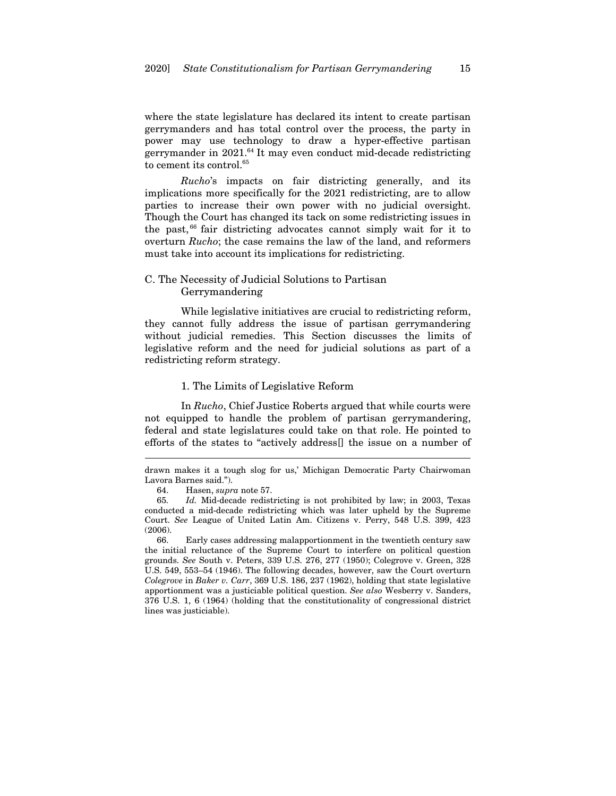where the state legislature has declared its intent to create partisan gerrymanders and has total control over the process, the party in power may use technology to draw a hyper-effective partisan gerrymander in  $2021$ .<sup>64</sup> It may even conduct mid-decade redistricting to cement its control.<sup>65</sup>

*Rucho*'s impacts on fair districting generally, and its implications more specifically for the 2021 redistricting, are to allow parties to increase their own power with no judicial oversight. Though the Court has changed its tack on some redistricting issues in the past, 66 fair districting advocates cannot simply wait for it to overturn *Rucho*; the case remains the law of the land, and reformers must take into account its implications for redistricting.

## C. The Necessity of Judicial Solutions to Partisan Gerrymandering

While legislative initiatives are crucial to redistricting reform, they cannot fully address the issue of partisan gerrymandering without judicial remedies. This Section discusses the limits of legislative reform and the need for judicial solutions as part of a redistricting reform strategy.

#### 1. The Limits of Legislative Reform

In *Rucho*, Chief Justice Roberts argued that while courts were not equipped to handle the problem of partisan gerrymandering, federal and state legislatures could take on that role. He pointed to efforts of the states to "actively address[] the issue on a number of

drawn makes it a tough slog for us,' Michigan Democratic Party Chairwoman Lavora Barnes said.").

<sup>64.</sup> Hasen, *supra* note 57.

<sup>65</sup>*. Id.* Mid-decade redistricting is not prohibited by law; in 2003, Texas conducted a mid-decade redistricting which was later upheld by the Supreme Court. *See* League of United Latin Am. Citizens v. Perry, 548 U.S. 399, 423 (2006).

<sup>66.</sup> Early cases addressing malapportionment in the twentieth century saw the initial reluctance of the Supreme Court to interfere on political question grounds. *See* South v. Peters, 339 U.S. 276, 277 (1950); Colegrove v. Green, 328 U.S. 549, 553–54 (1946). The following decades, however, saw the Court overturn *Colegrove* in *Baker v. Carr*, 369 U.S. 186, 237 (1962), holding that state legislative apportionment was a justiciable political question. *See also* Wesberry v. Sanders, 376 U.S. 1, 6 (1964) (holding that the constitutionality of congressional district lines was justiciable).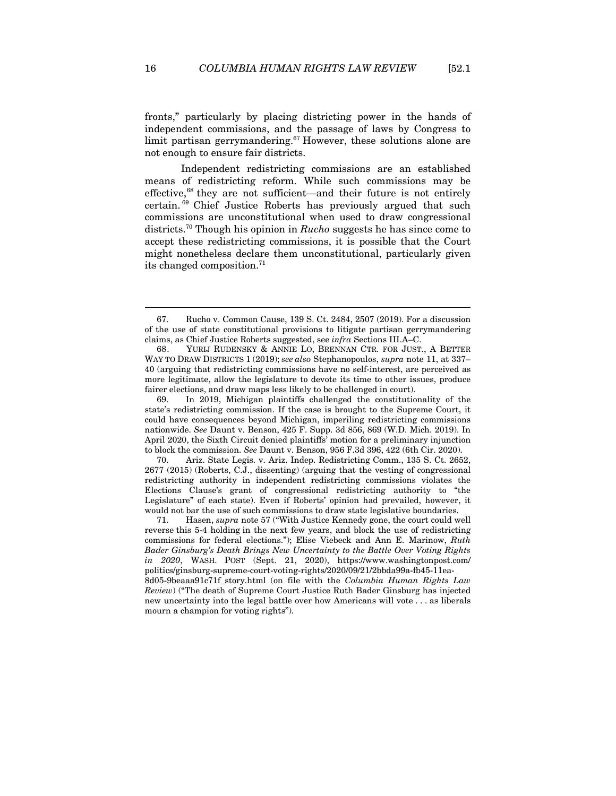fronts," particularly by placing districting power in the hands of independent commissions, and the passage of laws by Congress to limit partisan gerrymandering.<sup>67</sup> However, these solutions alone are not enough to ensure fair districts.

Independent redistricting commissions are an established means of redistricting reform. While such commissions may be effective,68 they are not sufficient—and their future is not entirely certain. 69 Chief Justice Roberts has previously argued that such commissions are unconstitutional when used to draw congressional districts.70 Though his opinion in *Rucho* suggests he has since come to accept these redistricting commissions, it is possible that the Court might nonetheless declare them unconstitutional, particularly given its changed composition.<sup>71</sup>

70. Ariz. State Legis. v. Ariz. Indep. Redistricting Comm., 135 S. Ct. 2652, 2677 (2015) (Roberts, C.J., dissenting) (arguing that the vesting of congressional redistricting authority in independent redistricting commissions violates the Elections Clause's grant of congressional redistricting authority to "the Legislature" of each state). Even if Roberts' opinion had prevailed, however, it would not bar the use of such commissions to draw state legislative boundaries.

<sup>67.</sup> Rucho v. Common Cause, 139 S. Ct. 2484, 2507 (2019). For a discussion of the use of state constitutional provisions to litigate partisan gerrymandering claims, as Chief Justice Roberts suggested, see *infra* Sections III.A–C.

<sup>68.</sup> YURIJ RUDENSKY & ANNIE LO, BRENNAN CTR. FOR JUST., A BETTER WAY TO DRAW DISTRICTS 1 (2019); *see also* Stephanopoulos, *supra* note 11, at 337– 40 (arguing that redistricting commissions have no self-interest, are perceived as more legitimate, allow the legislature to devote its time to other issues, produce fairer elections, and draw maps less likely to be challenged in court).

<sup>69.</sup> In 2019, Michigan plaintiffs challenged the constitutionality of the state's redistricting commission. If the case is brought to the Supreme Court, it could have consequences beyond Michigan, imperiling redistricting commissions nationwide. *See* Daunt v. Benson, 425 F. Supp. 3d 856, 869 (W.D. Mich. 2019). In April 2020, the Sixth Circuit denied plaintiffs' motion for a preliminary injunction to block the commission. *See* Daunt v. Benson, 956 F.3d 396, 422 (6th Cir. 2020).

<sup>71.</sup> Hasen, *supra* note 57 ("With Justice Kennedy gone, the court could well reverse this 5-4 holding in the next few years, and block the use of redistricting commissions for federal elections."); Elise Viebeck and Ann E. Marinow, *Ruth Bader Ginsburg's Death Brings New Uncertainty to the Battle Over Voting Rights in 2020*, WASH. POST (Sept. 21, 2020), https://www.washingtonpost.com/ politics/ginsburg-supreme-court-voting-rights/2020/09/21/2bbda99a-fb45-11ea-8d05-9beaaa91c71f\_story.html (on file with the *Columbia Human Rights Law Review*) ("The death of Supreme Court Justice Ruth Bader Ginsburg has injected new uncertainty into the legal battle over how Americans will vote . . . as liberals mourn a champion for voting rights").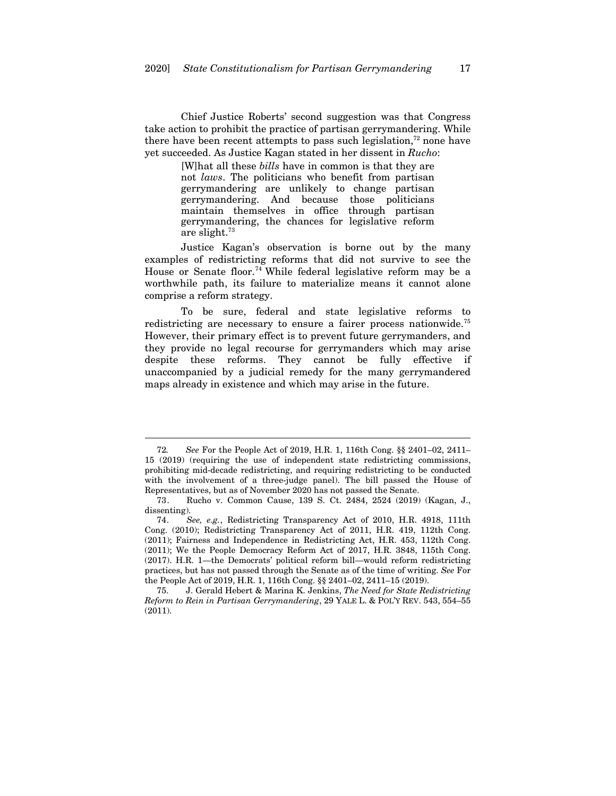Chief Justice Roberts' second suggestion was that Congress take action to prohibit the practice of partisan gerrymandering. While there have been recent attempts to pass such legislation, $72$  none have yet succeeded. As Justice Kagan stated in her dissent in *Rucho*:

> [W]hat all these *bills* have in common is that they are not *laws*. The politicians who benefit from partisan gerrymandering are unlikely to change partisan gerrymandering. And because those politicians maintain themselves in office through partisan gerrymandering, the chances for legislative reform are slight.73

Justice Kagan's observation is borne out by the many examples of redistricting reforms that did not survive to see the House or Senate floor.<sup>74</sup> While federal legislative reform may be a worthwhile path, its failure to materialize means it cannot alone comprise a reform strategy.

To be sure, federal and state legislative reforms to redistricting are necessary to ensure a fairer process nationwide.<sup>75</sup> However, their primary effect is to prevent future gerrymanders, and they provide no legal recourse for gerrymanders which may arise despite these reforms. They cannot be fully effective if unaccompanied by a judicial remedy for the many gerrymandered maps already in existence and which may arise in the future.

<sup>72</sup>*. See* For the People Act of 2019, H.R. 1, 116th Cong. §§ 2401–02, 2411– 15 (2019) (requiring the use of independent state redistricting commissions, prohibiting mid-decade redistricting, and requiring redistricting to be conducted with the involvement of a three-judge panel). The bill passed the House of Representatives, but as of November 2020 has not passed the Senate.

<sup>73.</sup> Rucho v. Common Cause, 139 S. Ct. 2484, 2524 (2019) (Kagan, J., dissenting).

<sup>74</sup>*. See, e.g.*, Redistricting Transparency Act of 2010, H.R. 4918, 111th Cong. (2010); Redistricting Transparency Act of 2011, H.R. 419, 112th Cong. (2011); Fairness and Independence in Redistricting Act, H.R. 453, 112th Cong. (2011); We the People Democracy Reform Act of 2017, H.R. 3848, 115th Cong. (2017). H.R. 1—the Democrats' political reform bill—would reform redistricting practices, but has not passed through the Senate as of the time of writing. *See* For the People Act of 2019, H.R. 1, 116th Cong. §§ 2401–02, 2411–15 (2019).

<sup>75.</sup> J. Gerald Hebert & Marina K. Jenkins, *The Need for State Redistricting Reform to Rein in Partisan Gerrymandering*, 29 YALE L. & POL'Y REV. 543, 554–55 (2011).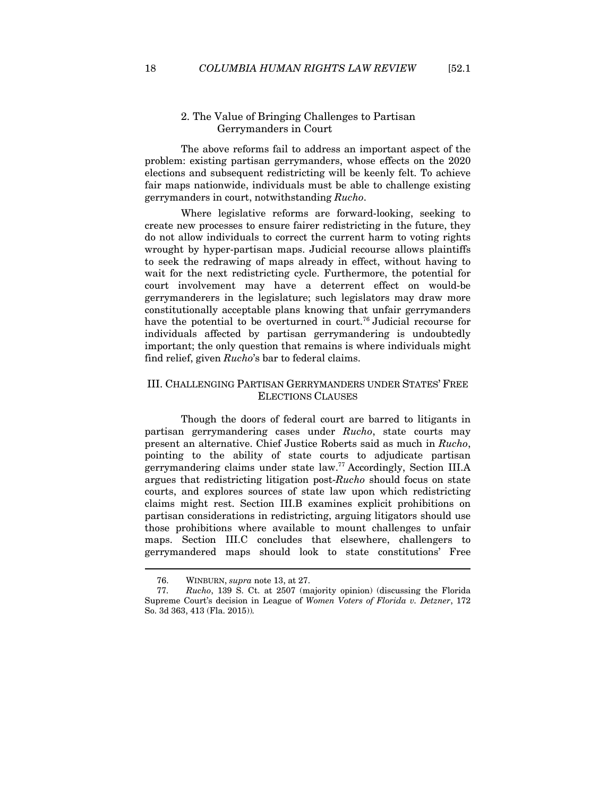## 2. The Value of Bringing Challenges to Partisan Gerrymanders in Court

The above reforms fail to address an important aspect of the problem: existing partisan gerrymanders, whose effects on the 2020 elections and subsequent redistricting will be keenly felt. To achieve fair maps nationwide, individuals must be able to challenge existing gerrymanders in court, notwithstanding *Rucho*.

Where legislative reforms are forward-looking, seeking to create new processes to ensure fairer redistricting in the future, they do not allow individuals to correct the current harm to voting rights wrought by hyper-partisan maps. Judicial recourse allows plaintiffs to seek the redrawing of maps already in effect, without having to wait for the next redistricting cycle. Furthermore, the potential for court involvement may have a deterrent effect on would-be gerrymanderers in the legislature; such legislators may draw more constitutionally acceptable plans knowing that unfair gerrymanders have the potential to be overturned in court.<sup>76</sup> Judicial recourse for individuals affected by partisan gerrymandering is undoubtedly important; the only question that remains is where individuals might find relief, given *Rucho*'s bar to federal claims.

## III. CHALLENGING PARTISAN GERRYMANDERS UNDER STATES' FREE ELECTIONS CLAUSES

Though the doors of federal court are barred to litigants in partisan gerrymandering cases under *Rucho*, state courts may present an alternative. Chief Justice Roberts said as much in *Rucho*, pointing to the ability of state courts to adjudicate partisan gerrymandering claims under state law.77 Accordingly, Section III.A argues that redistricting litigation post-*Rucho* should focus on state courts, and explores sources of state law upon which redistricting claims might rest. Section III.B examines explicit prohibitions on partisan considerations in redistricting, arguing litigators should use those prohibitions where available to mount challenges to unfair maps. Section III.C concludes that elsewhere, challengers to gerrymandered maps should look to state constitutions' Free

<sup>76.</sup> WINBURN, *supra* note 13, at 27.

<sup>77</sup>*. Rucho*, 139 S. Ct. at 2507 (majority opinion) (discussing the Florida Supreme Court's decision in League of *Women Voters of Florida v. Detzner*, 172 So. 3d 363, 413 (Fla. 2015))*.*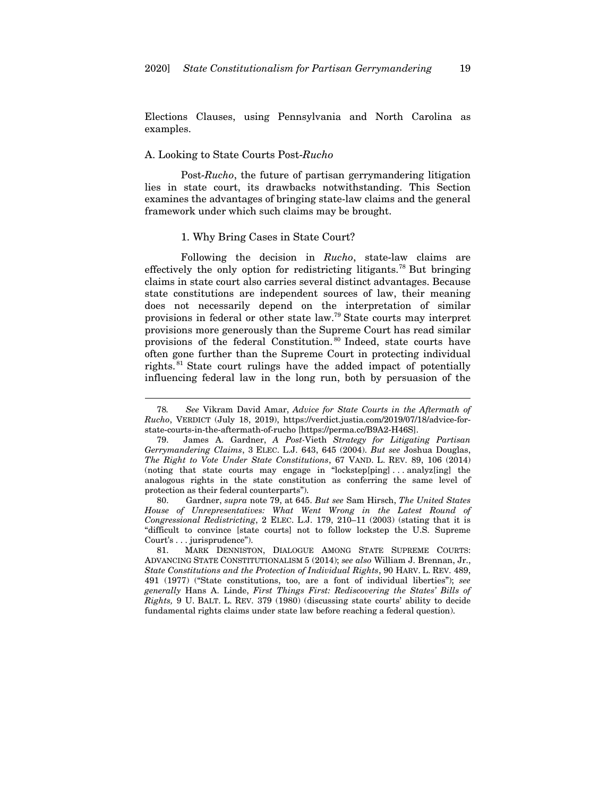Elections Clauses, using Pennsylvania and North Carolina as examples.

## A. Looking to State Courts Post-*Rucho*

 $\overline{a}$ 

Post-*Rucho*, the future of partisan gerrymandering litigation lies in state court, its drawbacks notwithstanding. This Section examines the advantages of bringing state-law claims and the general framework under which such claims may be brought.

#### 1. Why Bring Cases in State Court?

Following the decision in *Rucho*, state-law claims are effectively the only option for redistricting litigants.<sup>78</sup> But bringing claims in state court also carries several distinct advantages. Because state constitutions are independent sources of law, their meaning does not necessarily depend on the interpretation of similar provisions in federal or other state law.79 State courts may interpret provisions more generously than the Supreme Court has read similar provisions of the federal Constitution. 80 Indeed, state courts have often gone further than the Supreme Court in protecting individual rights. 81 State court rulings have the added impact of potentially influencing federal law in the long run, both by persuasion of the

80. Gardner, *supra* note 79, at 645. *But see* Sam Hirsch, *The United States House of Unrepresentatives: What Went Wrong in the Latest Round of Congressional Redistricting*, 2 ELEC. L.J. 179, 210–11 (2003) (stating that it is "difficult to convince [state courts] not to follow lockstep the U.S. Supreme Court's . . . jurisprudence").

<sup>78</sup>*. See* Vikram David Amar, *Advice for State Courts in the Aftermath of Rucho*, VERDICT (July 18, 2019), https://verdict.justia.com/2019/07/18/advice-forstate-courts-in-the-aftermath-of-rucho [https://perma.cc/B9A2-H46S].

<sup>79.</sup> James A. Gardner, *A Post-*Vieth *Strategy for Litigating Partisan Gerrymandering Claims*, 3 ELEC. L.J. 643, 645 (2004). *But see* Joshua Douglas, *The Right to Vote Under State Constitutions*, 67 VAND. L. REV. 89, 106 (2014) (noting that state courts may engage in "lockstep[ping] . . . analyz[ing] the analogous rights in the state constitution as conferring the same level of protection as their federal counterparts").

<sup>81.</sup> MARK DENNISTON, DIALOGUE AMONG STATE SUPREME COURTS: ADVANCING STATE CONSTITUTIONALISM 5 (2014); *see also* William J. Brennan, Jr., *State Constitutions and the Protection of Individual Rights*, 90 HARV. L. REV. 489, 491 (1977) ("State constitutions, too, are a font of individual liberties"); *see generally* Hans A. Linde, *First Things First: Rediscovering the States' Bills of Rights,* 9 U. BALT. L. REV. 379 (1980) (discussing state courts' ability to decide fundamental rights claims under state law before reaching a federal question).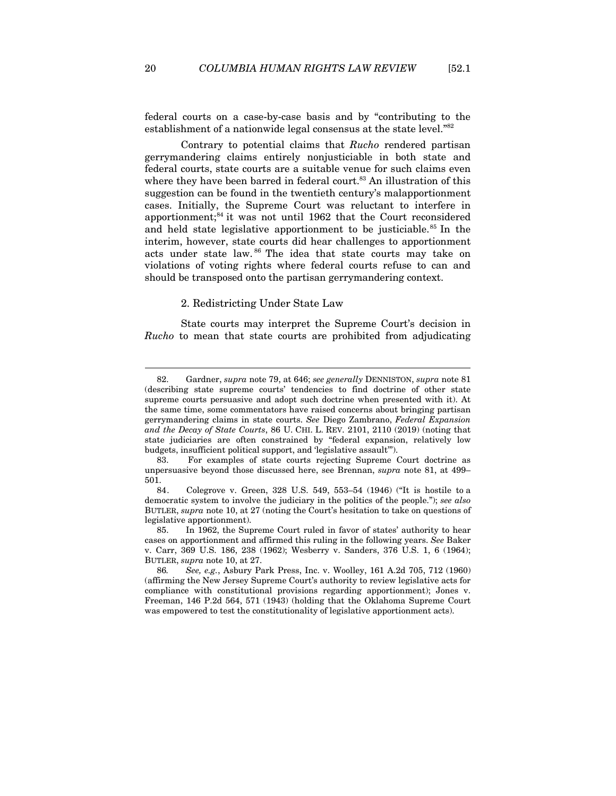federal courts on a case-by-case basis and by "contributing to the establishment of a nationwide legal consensus at the state level."<sup>82</sup>

Contrary to potential claims that *Rucho* rendered partisan gerrymandering claims entirely nonjusticiable in both state and federal courts, state courts are a suitable venue for such claims even where they have been barred in federal court.<sup>83</sup> An illustration of this suggestion can be found in the twentieth century's malapportionment cases. Initially, the Supreme Court was reluctant to interfere in apportionment;<sup>84</sup> it was not until 1962 that the Court reconsidered and held state legislative apportionment to be justiciable.<sup>85</sup> In the interim, however, state courts did hear challenges to apportionment acts under state law. 86 The idea that state courts may take on violations of voting rights where federal courts refuse to can and should be transposed onto the partisan gerrymandering context.

## 2. Redistricting Under State Law

State courts may interpret the Supreme Court's decision in *Rucho* to mean that state courts are prohibited from adjudicating

<sup>82.</sup> Gardner, *supra* note 79, at 646; *see generally* DENNISTON, *supra* note 81 (describing state supreme courts' tendencies to find doctrine of other state supreme courts persuasive and adopt such doctrine when presented with it). At the same time, some commentators have raised concerns about bringing partisan gerrymandering claims in state courts. *See* Diego Zambrano, *Federal Expansion and the Decay of State Courts*, 86 U. CHI. L. REV. 2101, 2110 (2019) (noting that state judiciaries are often constrained by "federal expansion, relatively low budgets, insufficient political support, and 'legislative assault'").

<sup>83.</sup> For examples of state courts rejecting Supreme Court doctrine as unpersuasive beyond those discussed here, see Brennan, *supra* note 81, at 499– 501.

<sup>84.</sup> Colegrove v. Green, 328 U.S. 549, 553–54 (1946) ("It is hostile to a democratic system to involve the judiciary in the politics of the people."); *see also* BUTLER, *supra* note 10, at 27 (noting the Court's hesitation to take on questions of legislative apportionment).

<sup>85.</sup> In 1962, the Supreme Court ruled in favor of states' authority to hear cases on apportionment and affirmed this ruling in the following years. *See* Baker v. Carr, 369 U.S. 186, 238 (1962); Wesberry v. Sanders, 376 U.S. 1, 6 (1964); BUTLER, *supra* note 10, at 27.

<sup>86</sup>*. See, e.g.*, Asbury Park Press, Inc. v. Woolley, 161 A.2d 705, 712 (1960) (affirming the New Jersey Supreme Court's authority to review legislative acts for compliance with constitutional provisions regarding apportionment); Jones v. Freeman, 146 P.2d 564, 571 (1943) (holding that the Oklahoma Supreme Court was empowered to test the constitutionality of legislative apportionment acts).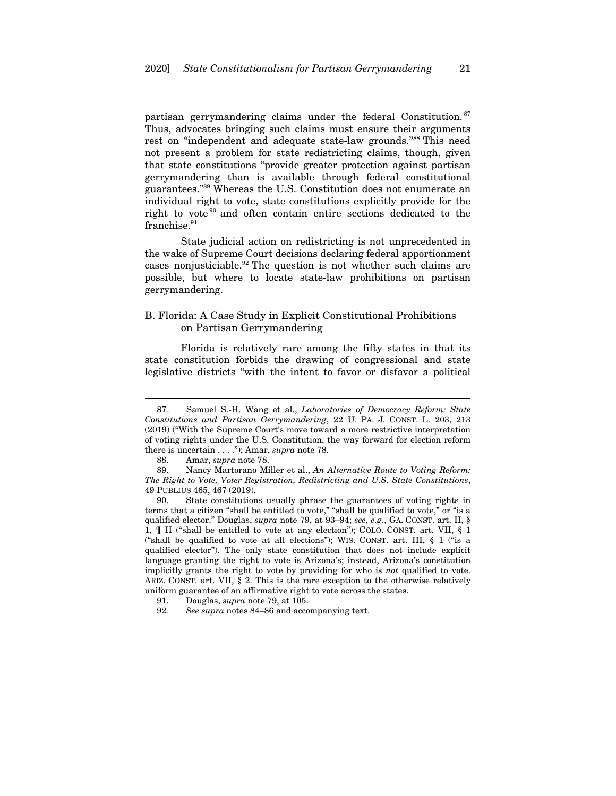partisan gerrymandering claims under the federal Constitution. <sup>87</sup> Thus, advocates bringing such claims must ensure their arguments rest on "independent and adequate state-law grounds."88 This need not present a problem for state redistricting claims, though, given that state constitutions "provide greater protection against partisan gerrymandering than is available through federal constitutional guarantees."89 Whereas the U.S. Constitution does not enumerate an individual right to vote, state constitutions explicitly provide for the right to vote<sup>90</sup> and often contain entire sections dedicated to the  $franche.<sup>91</sup>$ 

State judicial action on redistricting is not unprecedented in the wake of Supreme Court decisions declaring federal apportionment cases nonjusticiable.92 The question is not whether such claims are possible, but where to locate state-law prohibitions on partisan gerrymandering.

## B. Florida: A Case Study in Explicit Constitutional Prohibitions on Partisan Gerrymandering

Florida is relatively rare among the fifty states in that its state constitution forbids the drawing of congressional and state legislative districts "with the intent to favor or disfavor a political

<sup>87.</sup> Samuel S.-H. Wang et al., *Laboratories of Democracy Reform: State Constitutions and Partisan Gerrymandering*, 22 U. PA. J. CONST. L. 203, 213 (2019) ("With the Supreme Court's move toward a more restrictive interpretation of voting rights under the U.S. Constitution, the way forward for election reform there is uncertain . . . ."); Amar, *supra* note 78.

<sup>88.</sup> Amar, *supra* note 78.

<sup>89.</sup> Nancy Martorano Miller et al., *An Alternative Route to Voting Reform: The Right to Vote, Voter Registration, Redistricting and U.S. State Constitutions*, 49 PUBLIUS 465, 467 (2019).

<sup>90.</sup> State constitutions usually phrase the guarantees of voting rights in terms that a citizen "shall be entitled to vote," "shall be qualified to vote," or "is a qualified elector." Douglas, *supra* note 79, at 93–94; *see, e.g.*, GA. CONST. art. II, § 1, ¶ II ("shall be entitled to vote at any election"); COLO. CONST. art. VII, § 1 ("shall be qualified to vote at all elections"); WIS. CONST. art. III, § 1 ("is a qualified elector"). The only state constitution that does not include explicit language granting the right to vote is Arizona's; instead, Arizona's constitution implicitly grants the right to vote by providing for who is *not* qualified to vote. ARIZ. CONST. art. VII, § 2. This is the rare exception to the otherwise relatively uniform guarantee of an affirmative right to vote across the states.

<sup>91.</sup> Douglas, *supra* note 79, at 105.

<sup>92</sup>*. See supra* notes 84–86 and accompanying text.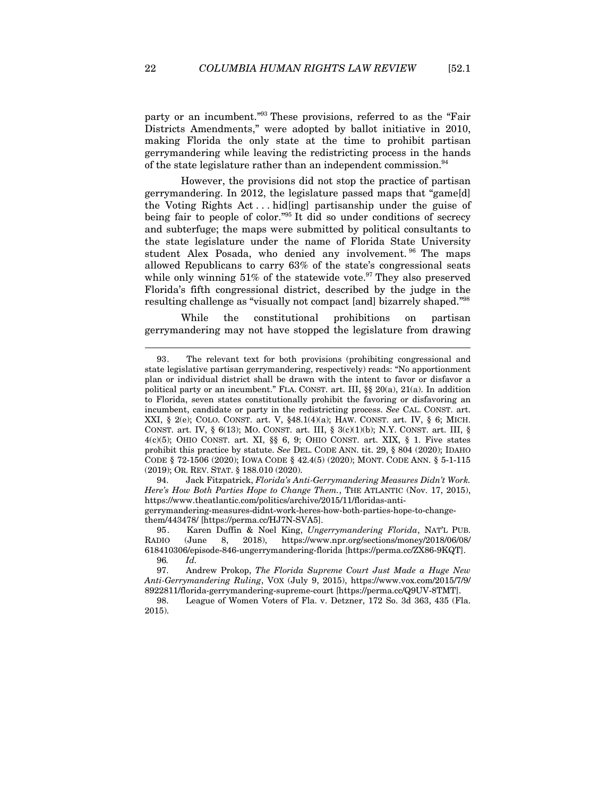party or an incumbent."93 These provisions, referred to as the "Fair Districts Amendments," were adopted by ballot initiative in 2010, making Florida the only state at the time to prohibit partisan gerrymandering while leaving the redistricting process in the hands of the state legislature rather than an independent commission.<sup>94</sup>

However, the provisions did not stop the practice of partisan gerrymandering. In 2012, the legislature passed maps that "game[d] the Voting Rights Act . . . hid[ing] partisanship under the guise of being fair to people of color."95 It did so under conditions of secrecy and subterfuge; the maps were submitted by political consultants to the state legislature under the name of Florida State University student Alex Posada, who denied any involvement. <sup>96</sup> The maps allowed Republicans to carry 63% of the state's congressional seats while only winning 51% of the statewide vote.<sup>97</sup> They also preserved Florida's fifth congressional district, described by the judge in the resulting challenge as "visually not compact [and] bizarrely shaped."98

While the constitutional prohibitions on partisan gerrymandering may not have stopped the legislature from drawing

94. Jack Fitzpatrick, *Florida's Anti-Gerrymandering Measures Didn't Work. Here's How Both Parties Hope to Change Them.*, THE ATLANTIC (Nov. 17, 2015), https://www.theatlantic.com/politics/archive/2015/11/floridas-antigerrymandering-measures-didnt-work-heres-how-both-parties-hope-to-changethem/443478/ [https://perma.cc/HJ7N-SVA5].

<sup>93.</sup> The relevant text for both provisions (prohibiting congressional and state legislative partisan gerrymandering, respectively) reads: "No apportionment plan or individual district shall be drawn with the intent to favor or disfavor a political party or an incumbent." FLA. CONST. art. III,  $\S$   $20(a)$ ,  $21(a)$ . In addition to Florida, seven states constitutionally prohibit the favoring or disfavoring an incumbent, candidate or party in the redistricting process. *See* CAL. CONST. art. XXI, § 2(e); COLO. CONST. art. V, §48.1(4)(a); HAW. CONST. art. IV, § 6; MICH. CONST. art. IV, § 6(13); MO. CONST. art. III, § 3(c)(1)(b); N.Y. CONST. art. III, §  $4(c)(5)$ ; OHIO CONST. art. XI, §§ 6, 9; OHIO CONST. art. XIX, § 1. Five states prohibit this practice by statute. *See* DEL. CODE ANN. tit. 29, § 804 (2020); IDAHO CODE § 72-1506 (2020); IOWA CODE § 42.4(5) (2020); MONT. CODE ANN. § 5-1-115 (2019); OR. REV. STAT. § 188.010 (2020).

<sup>95.</sup> Karen Duffin & Noel King, *Ungerrymandering Florida*, NAT'L PUB. RADIO (June 8, 2018), https://www.npr.org/sections/money/2018/06/08/ 618410306/episode-846-ungerrymandering-florida [https://perma.cc/ZX86-9KQT]. 96*. Id.*

<sup>97.</sup> Andrew Prokop, *The Florida Supreme Court Just Made a Huge New Anti-Gerrymandering Ruling*, VOX (July 9, 2015), https://www.vox.com/2015/7/9/ 8922811/florida-gerrymandering-supreme-court [https://perma.cc/Q9UV-8TMT].

<sup>98.</sup> League of Women Voters of Fla. v. Detzner, 172 So. 3d 363, 435 (Fla. 2015).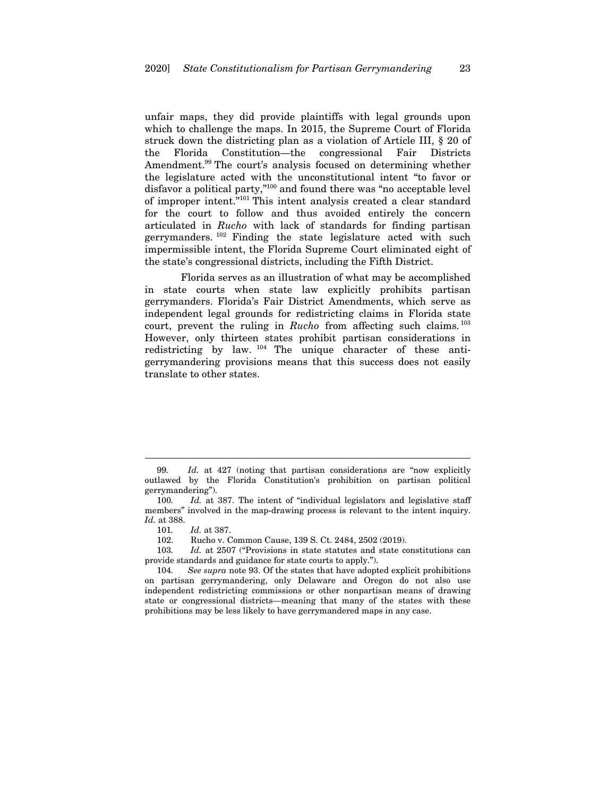unfair maps, they did provide plaintiffs with legal grounds upon which to challenge the maps. In 2015, the Supreme Court of Florida struck down the districting plan as a violation of Article III, § 20 of the Florida Constitution—the congressional Fair Districts Amendment.<sup>99</sup> The court's analysis focused on determining whether the legislature acted with the unconstitutional intent "to favor or disfavor a political party,"100 and found there was "no acceptable level of improper intent."101 This intent analysis created a clear standard for the court to follow and thus avoided entirely the concern articulated in *Rucho* with lack of standards for finding partisan gerrymanders. 102 Finding the state legislature acted with such impermissible intent, the Florida Supreme Court eliminated eight of the state's congressional districts, including the Fifth District.

Florida serves as an illustration of what may be accomplished in state courts when state law explicitly prohibits partisan gerrymanders. Florida's Fair District Amendments, which serve as independent legal grounds for redistricting claims in Florida state court, prevent the ruling in *Rucho* from affecting such claims.<sup>103</sup> However, only thirteen states prohibit partisan considerations in redistricting by law. <sup>104</sup> The unique character of these antigerrymandering provisions means that this success does not easily translate to other states.

<sup>99</sup>*. Id.* at 427 (noting that partisan considerations are "now explicitly outlawed by the Florida Constitution's prohibition on partisan political gerrymandering").

<sup>100</sup>*. Id.* at 387. The intent of "individual legislators and legislative staff members" involved in the map-drawing process is relevant to the intent inquiry. *Id.* at 388.

<sup>101</sup>*. Id.* at 387.

<sup>102.</sup> Rucho v. Common Cause, 139 S. Ct. 2484, 2502 (2019).

<sup>103</sup>*. Id.* at 2507 ("Provisions in state statutes and state constitutions can provide standards and guidance for state courts to apply.").

<sup>104</sup>*. See supra* note 93. Of the states that have adopted explicit prohibitions on partisan gerrymandering, only Delaware and Oregon do not also use independent redistricting commissions or other nonpartisan means of drawing state or congressional districts—meaning that many of the states with these prohibitions may be less likely to have gerrymandered maps in any case.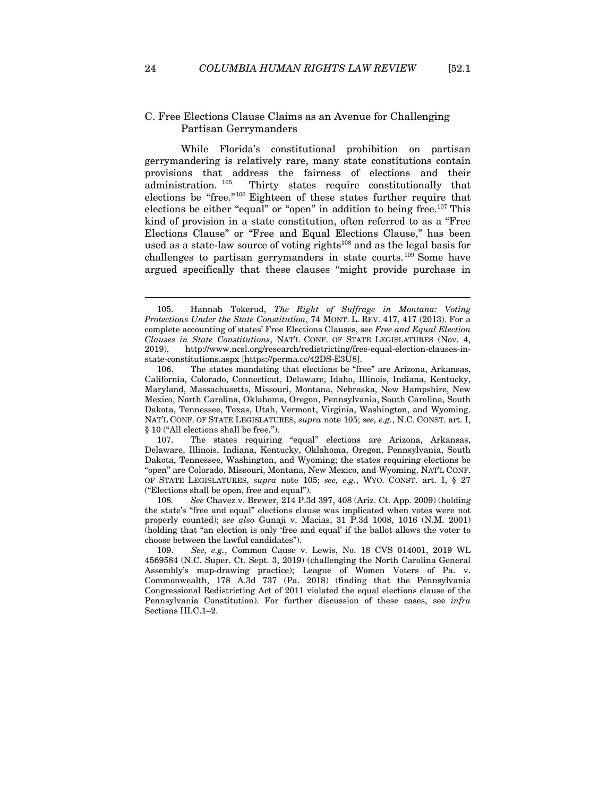## C. Free Elections Clause Claims as an Avenue for Challenging Partisan Gerrymanders

While Florida's constitutional prohibition on partisan gerrymandering is relatively rare, many state constitutions contain provisions that address the fairness of elections and their administration. 105 Thirty states require constitutionally that elections be "free."106 Eighteen of these states further require that elections be either "equal" or "open" in addition to being free.<sup>107</sup> This kind of provision in a state constitution, often referred to as a "Free Elections Clause" or "Free and Equal Elections Clause," has been used as a state-law source of voting rights<sup>108</sup> and as the legal basis for challenges to partisan gerrymanders in state courts.109 Some have argued specifically that these clauses "might provide purchase in

<sup>105.</sup> Hannah Tokerud, *The Right of Suffrage in Montana: Voting Protections Under the State Constitution*, 74 MONT. L. REV. 417, 417 (2013). For a complete accounting of states' Free Elections Clauses, see *Free and Equal Election Clauses in State Constitutions*, NAT'L CONF. OF STATE LEGISLATURES (Nov. 4, 2019), http://www.ncsl.org/research/redistricting/free-equal-election-clauses-instate-constitutions.aspx [https://perma.cc/42DS-E3U8].

<sup>106.</sup> The states mandating that elections be "free" are Arizona, Arkansas, California, Colorado, Connecticut, Delaware, Idaho, Illinois, Indiana, Kentucky, Maryland, Massachusetts, Missouri, Montana, Nebraska, New Hampshire, New Mexico, North Carolina, Oklahoma, Oregon, Pennsylvania, South Carolina, South Dakota, Tennessee, Texas, Utah, Vermont, Virginia, Washington, and Wyoming. NAT'L CONF. OF STATE LEGISLATURES, *supra* note 105; *see, e.g.*, N.C. CONST. art. I, § 10 ("All elections shall be free.").

<sup>107.</sup> The states requiring "equal" elections are Arizona, Arkansas, Delaware, Illinois, Indiana, Kentucky, Oklahoma, Oregon, Pennsylvania, South Dakota, Tennessee, Washington, and Wyoming; the states requiring elections be "open" are Colorado, Missouri, Montana, New Mexico, and Wyoming. NAT'L CONF. OF STATE LEGISLATURES, *supra* note 105; *see, e.g.*, WYO. CONST. art. I, § 27 ("Elections shall be open, free and equal").

<sup>108</sup>*. See* Chavez v. Brewer, 214 P.3d 397, 408 (Ariz. Ct. App. 2009) (holding the state's "free and equal" elections clause was implicated when votes were not properly counted); *see also* Gunaji v. Macias, 31 P.3d 1008, 1016 (N.M. 2001) (holding that "an election is only 'free and equal' if the ballot allows the voter to choose between the lawful candidates").

<sup>109</sup>*. See, e.g.*, Common Cause v. Lewis, No. 18 CVS 014001, 2019 WL 4569584 (N.C. Super. Ct. Sept. 3, 2019) (challenging the North Carolina General Assembly's map-drawing practice); League of Women Voters of Pa. v. Commonwealth, 178 A.3d 737 (Pa. 2018) (finding that the Pennsylvania Congressional Redistricting Act of 2011 violated the equal elections clause of the Pennsylvania Constitution). For further discussion of these cases, see *infra* Sections III.C.1–2.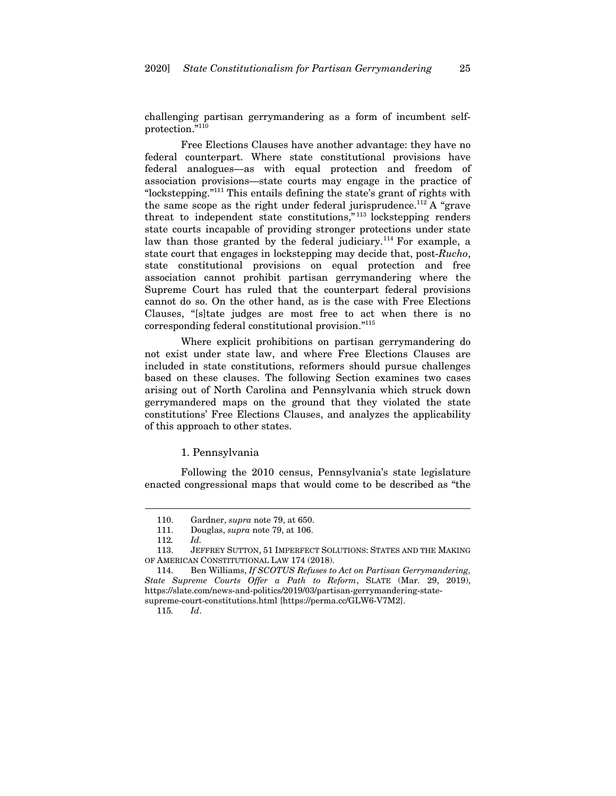challenging partisan gerrymandering as a form of incumbent selfprotection."110

Free Elections Clauses have another advantage: they have no federal counterpart. Where state constitutional provisions have federal analogues—as with equal protection and freedom of association provisions—state courts may engage in the practice of "lockstepping."111 This entails defining the state's grant of rights with the same scope as the right under federal jurisprudence.<sup>112</sup> A "grave" threat to independent state constitutions,"<sup>113</sup> lockstepping renders state courts incapable of providing stronger protections under state law than those granted by the federal judiciary.<sup>114</sup> For example, a state court that engages in lockstepping may decide that, post-*Rucho*, state constitutional provisions on equal protection and free association cannot prohibit partisan gerrymandering where the Supreme Court has ruled that the counterpart federal provisions cannot do so. On the other hand, as is the case with Free Elections Clauses, "[s]tate judges are most free to act when there is no corresponding federal constitutional provision."115

Where explicit prohibitions on partisan gerrymandering do not exist under state law, and where Free Elections Clauses are included in state constitutions, reformers should pursue challenges based on these clauses. The following Section examines two cases arising out of North Carolina and Pennsylvania which struck down gerrymandered maps on the ground that they violated the state constitutions' Free Elections Clauses, and analyzes the applicability of this approach to other states.

#### 1. Pennsylvania

Following the 2010 census, Pennsylvania's state legislature enacted congressional maps that would come to be described as "the

<sup>110.</sup> Gardner, *supra* note 79, at 650.

<sup>111.</sup> Douglas, *supra* note 79, at 106.

<sup>112</sup>*. Id.*

<sup>113.</sup> JEFFREY SUTTON, 51 IMPERFECT SOLUTIONS: STATES AND THE MAKING OF AMERICAN CONSTITUTIONAL LAW 174 (2018).

<sup>114.</sup> Ben Williams, *If SCOTUS Refuses to Act on Partisan Gerrymandering, State Supreme Courts Offer a Path to Reform*, SLATE (Mar. 29, 2019), https://slate.com/news-and-politics/2019/03/partisan-gerrymandering-statesupreme-court-constitutions.html [https://perma.cc/GLW6-V7M2].

<sup>115</sup>*. Id*.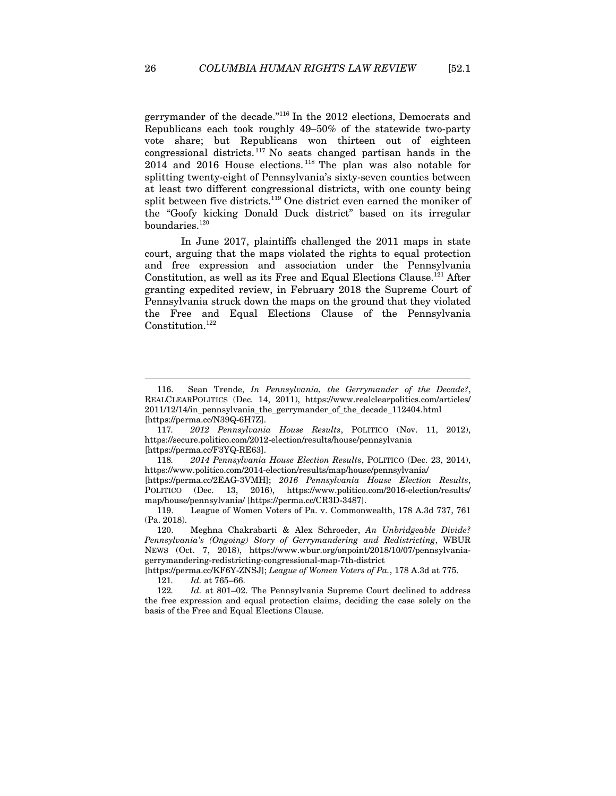gerrymander of the decade."116 In the 2012 elections, Democrats and Republicans each took roughly 49–50% of the statewide two-party vote share; but Republicans won thirteen out of eighteen congressional districts.  $117$  No seats changed partisan hands in the 2014 and 2016 House elections. 118 The plan was also notable for splitting twenty-eight of Pennsylvania's sixty-seven counties between at least two different congressional districts, with one county being split between five districts.<sup>119</sup> One district even earned the moniker of the "Goofy kicking Donald Duck district" based on its irregular boundaries.<sup>120</sup>

In June 2017, plaintiffs challenged the 2011 maps in state court, arguing that the maps violated the rights to equal protection and free expression and association under the Pennsylvania Constitution, as well as its Free and Equal Elections Clause.<sup>121</sup> After granting expedited review, in February 2018 the Supreme Court of Pennsylvania struck down the maps on the ground that they violated the Free and Equal Elections Clause of the Pennsylvania Constitution.<sup>122</sup>

<sup>116.</sup> Sean Trende, *In Pennsylvania, the Gerrymander of the Decade?*, REALCLEARPOLITICS (Dec. 14, 2011), https://www.realclearpolitics.com/articles/ 2011/12/14/in\_pennsylvania\_the\_gerrymander\_of\_the\_decade\_112404.html [https://perma.cc/N39Q-6H7Z].

<sup>117</sup>*. 2012 Pennsylvania House Results*, POLITICO (Nov. 11, 2012), https://secure.politico.com/2012-election/results/house/pennsylvania [https://perma.cc/F3YQ-RE63].

<sup>118</sup>*. 2014 Pennsylvania House Election Results*, POLITICO (Dec. 23, 2014), https://www.politico.com/2014-election/results/map/house/pennsylvania/

<sup>[</sup>https://perma.cc/2EAG-3VMH]; *2016 Pennsylvania House Election Results*, POLITICO (Dec. 13, 2016), https://www.politico.com/2016-election/results/ map/house/pennsylvania/ [https://perma.cc/CR3D-3487].

<sup>119.</sup> League of Women Voters of Pa. v. Commonwealth, 178 A.3d 737, 761 (Pa. 2018).

<sup>120.</sup> Meghna Chakrabarti & Alex Schroeder, *An Unbridgeable Divide? Pennsylvania's (Ongoing) Story of Gerrymandering and Redistricting*, WBUR NEWS (Oct. 7, 2018), https://www.wbur.org/onpoint/2018/10/07/pennsylvaniagerrymandering-redistricting-congressional-map-7th-district

<sup>[</sup>https://perma.cc/KF6Y-ZNSJ]; *League of Women Voters of Pa.*, 178 A.3d at 775. 121*. Id.* at 765–66.

<sup>122</sup>*. Id.* at 801–02. The Pennsylvania Supreme Court declined to address

the free expression and equal protection claims, deciding the case solely on the basis of the Free and Equal Elections Clause.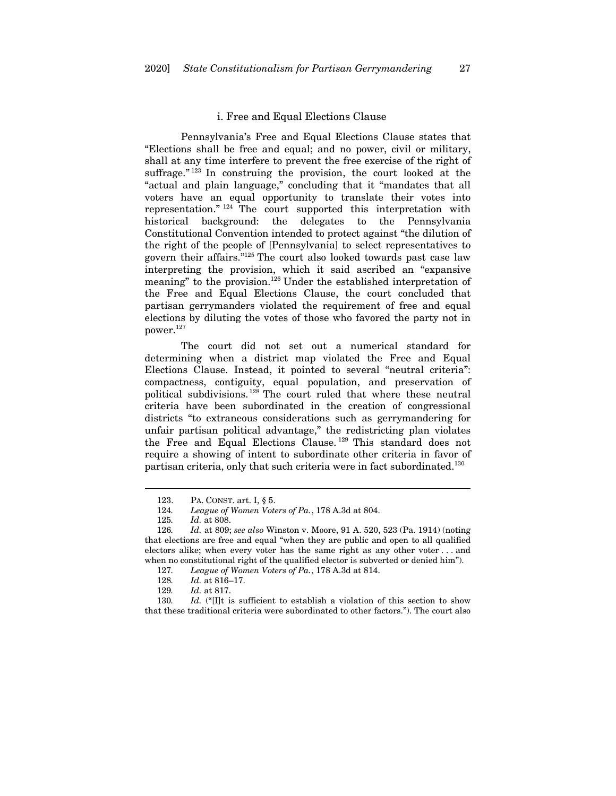#### i. Free and Equal Elections Clause

Pennsylvania's Free and Equal Elections Clause states that "Elections shall be free and equal; and no power, civil or military, shall at any time interfere to prevent the free exercise of the right of suffrage." $123$  In construing the provision, the court looked at the "actual and plain language," concluding that it "mandates that all voters have an equal opportunity to translate their votes into representation." 124 The court supported this interpretation with historical background: the delegates to the Pennsylvania Constitutional Convention intended to protect against "the dilution of the right of the people of [Pennsylvania] to select representatives to govern their affairs."125 The court also looked towards past case law interpreting the provision, which it said ascribed an "expansive meaning" to the provision.126 Under the established interpretation of the Free and Equal Elections Clause, the court concluded that partisan gerrymanders violated the requirement of free and equal elections by diluting the votes of those who favored the party not in power.127

The court did not set out a numerical standard for determining when a district map violated the Free and Equal Elections Clause. Instead, it pointed to several "neutral criteria": compactness, contiguity, equal population, and preservation of political subdivisions. 128 The court ruled that where these neutral criteria have been subordinated in the creation of congressional districts "to extraneous considerations such as gerrymandering for unfair partisan political advantage," the redistricting plan violates the Free and Equal Elections Clause. 129 This standard does not require a showing of intent to subordinate other criteria in favor of partisan criteria, only that such criteria were in fact subordinated.130

 $\overline{a}$ 

130*. Id.* ("[I]t is sufficient to establish a violation of this section to show that these traditional criteria were subordinated to other factors."). The court also

<sup>123.</sup> PA. CONST. art. I, § 5.

<sup>124</sup>*. League of Women Voters of Pa.*, 178 A.3d at 804.

<sup>125</sup>*. Id.* at 808.

<sup>126</sup>*. Id.* at 809; *see also* Winston v. Moore, 91 A. 520, 523 (Pa. 1914) (noting that elections are free and equal "when they are public and open to all qualified electors alike; when every voter has the same right as any other voter . . . and when no constitutional right of the qualified elector is subverted or denied him").

<sup>127</sup>*. League of Women Voters of Pa.*, 178 A.3d at 814.

<sup>128.</sup> *Id.* at 816–17.<br>129. *Id.* at 817.

*Id.* at 817.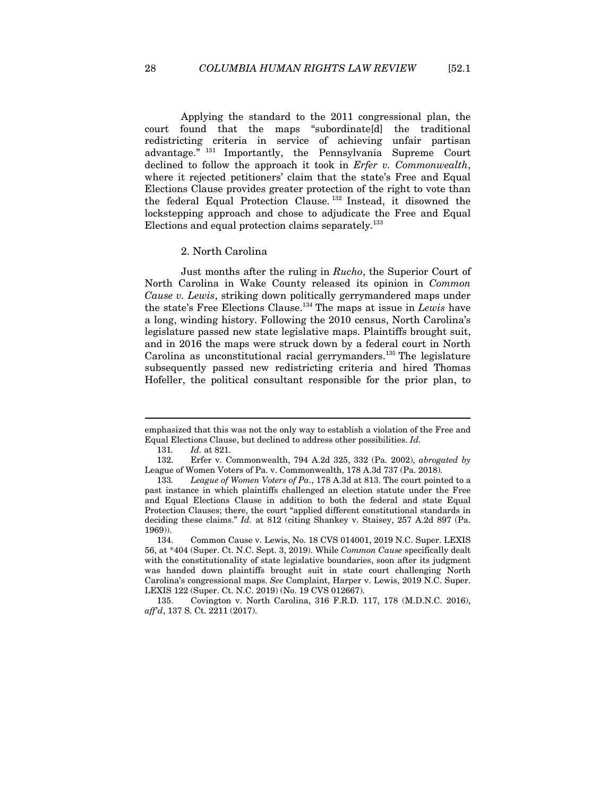Applying the standard to the 2011 congressional plan, the court found that the maps "subordinate[d] the traditional redistricting criteria in service of achieving unfair partisan advantage." 131 Importantly, the Pennsylvania Supreme Court declined to follow the approach it took in *Erfer v. Commonwealth*, where it rejected petitioners' claim that the state's Free and Equal Elections Clause provides greater protection of the right to vote than the federal Equal Protection Clause. 132 Instead, it disowned the lockstepping approach and chose to adjudicate the Free and Equal Elections and equal protection claims separately.<sup>133</sup>

#### 2. North Carolina

Just months after the ruling in *Rucho*, the Superior Court of North Carolina in Wake County released its opinion in *Common Cause v. Lewis*, striking down politically gerrymandered maps under the state's Free Elections Clause.134 The maps at issue in *Lewis* have a long, winding history. Following the 2010 census, North Carolina's legislature passed new state legislative maps. Plaintiffs brought suit, and in 2016 the maps were struck down by a federal court in North Carolina as unconstitutional racial gerrymanders.<sup>135</sup> The legislature subsequently passed new redistricting criteria and hired Thomas Hofeller, the political consultant responsible for the prior plan, to

emphasized that this was not the only way to establish a violation of the Free and Equal Elections Clause, but declined to address other possibilities. *Id.*

<sup>131</sup>*. Id.* at 821.

<sup>132.</sup> Erfer v. Commonwealth, 794 A.2d 325, 332 (Pa. 2002), *abrogated by* League of Women Voters of Pa. v. Commonwealth, 178 A.3d 737 (Pa. 2018).

<sup>133</sup>*. League of Women Voters of Pa*., 178 A.3d at 813. The court pointed to a past instance in which plaintiffs challenged an election statute under the Free and Equal Elections Clause in addition to both the federal and state Equal Protection Clauses; there, the court "applied different constitutional standards in deciding these claims." *Id.* at 812 (citing Shankey v. Staisey, 257 A.2d 897 (Pa. 1969)).

<sup>134.</sup> Common Cause v. Lewis, No. 18 CVS 014001, 2019 N.C. Super. LEXIS 56, at \*404 (Super. Ct. N.C. Sept. 3, 2019). While *Common Cause* specifically dealt with the constitutionality of state legislative boundaries, soon after its judgment was handed down plaintiffs brought suit in state court challenging North Carolina's congressional maps. *See* Complaint, Harper v. Lewis, 2019 N.C. Super. LEXIS 122 (Super. Ct. N.C. 2019) (No. 19 CVS 012667).

<sup>135.</sup> Covington v. North Carolina, 316 F.R.D. 117, 178 (M.D.N.C. 2016), *aff'd*, 137 S. Ct. 2211 (2017).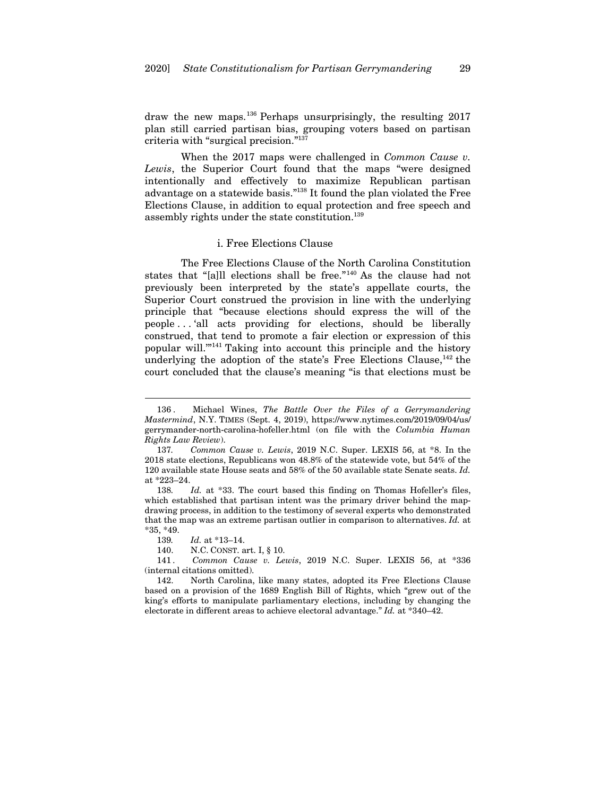draw the new maps.136 Perhaps unsurprisingly, the resulting 2017 plan still carried partisan bias, grouping voters based on partisan criteria with "surgical precision."137

When the 2017 maps were challenged in *Common Cause v. Lewis*, the Superior Court found that the maps "were designed intentionally and effectively to maximize Republican partisan advantage on a statewide basis."138 It found the plan violated the Free Elections Clause, in addition to equal protection and free speech and assembly rights under the state constitution.<sup>139</sup>

#### i. Free Elections Clause

The Free Elections Clause of the North Carolina Constitution states that "[a]ll elections shall be free."140 As the clause had not previously been interpreted by the state's appellate courts, the Superior Court construed the provision in line with the underlying principle that "because elections should express the will of the people . . . 'all acts providing for elections, should be liberally construed, that tend to promote a fair election or expression of this popular will.'"141 Taking into account this principle and the history underlying the adoption of the state's Free Elections Clause, $^{142}$  the court concluded that the clause's meaning "is that elections must be

<sup>136 .</sup> Michael Wines, *The Battle Over the Files of a Gerrymandering Mastermind*, N.Y. TIMES (Sept. 4, 2019), https://www.nytimes.com/2019/09/04/us/ gerrymander-north-carolina-hofeller.html (on file with the *Columbia Human Rights Law Review*).

<sup>137</sup>*. Common Cause v. Lewis*, 2019 N.C. Super. LEXIS 56, at \*8. In the 2018 state elections, Republicans won 48.8% of the statewide vote, but 54% of the 120 available state House seats and 58% of the 50 available state Senate seats. *Id.* at \*223–24.

<sup>138</sup>*. Id.* at \*33. The court based this finding on Thomas Hofeller's files, which established that partisan intent was the primary driver behind the mapdrawing process, in addition to the testimony of several experts who demonstrated that the map was an extreme partisan outlier in comparison to alternatives. *Id.* at \*35, \*49.

<sup>139</sup>*. Id.* at \*13–14.

<sup>140.</sup> N.C. CONST. art. I, § 10.

<sup>141</sup> *. Common Cause v. Lewis*, 2019 N.C. Super. LEXIS 56, at \*336 (internal citations omitted).

<sup>142.</sup> North Carolina, like many states, adopted its Free Elections Clause based on a provision of the 1689 English Bill of Rights, which "grew out of the king's efforts to manipulate parliamentary elections, including by changing the electorate in different areas to achieve electoral advantage." *Id.* at \*340–42.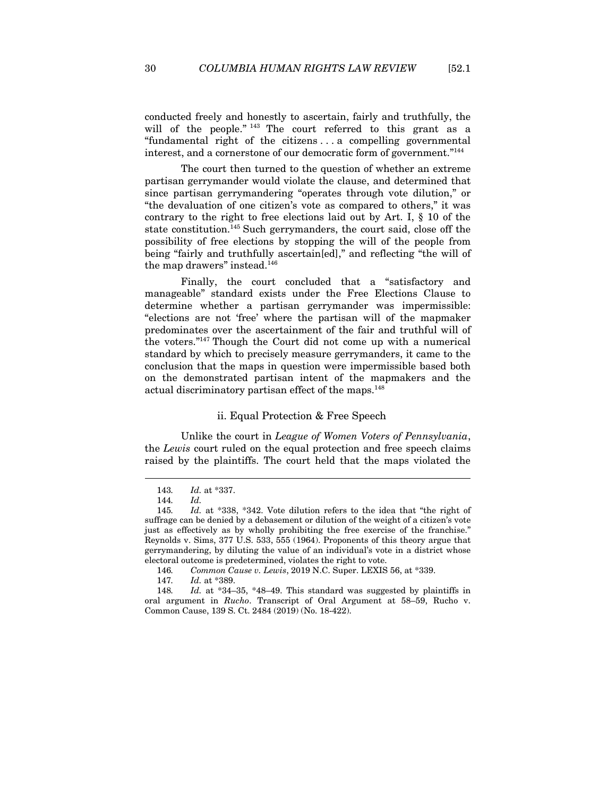conducted freely and honestly to ascertain, fairly and truthfully, the will of the people."<sup>143</sup> The court referred to this grant as a "fundamental right of the citizens . . . a compelling governmental interest, and a cornerstone of our democratic form of government."144

The court then turned to the question of whether an extreme partisan gerrymander would violate the clause, and determined that since partisan gerrymandering "operates through vote dilution," or "the devaluation of one citizen's vote as compared to others," it was contrary to the right to free elections laid out by Art. I, § 10 of the state constitution.<sup>145</sup> Such gerrymanders, the court said, close off the possibility of free elections by stopping the will of the people from being "fairly and truthfully ascertain[ed]," and reflecting "the will of the map drawers" instead.<sup>146</sup>

Finally, the court concluded that a "satisfactory and manageable" standard exists under the Free Elections Clause to determine whether a partisan gerrymander was impermissible: "elections are not 'free' where the partisan will of the mapmaker predominates over the ascertainment of the fair and truthful will of the voters."147 Though the Court did not come up with a numerical standard by which to precisely measure gerrymanders, it came to the conclusion that the maps in question were impermissible based both on the demonstrated partisan intent of the mapmakers and the actual discriminatory partisan effect of the maps.148

#### ii. Equal Protection & Free Speech

Unlike the court in *League of Women Voters of Pennsylvania*, the *Lewis* court ruled on the equal protection and free speech claims raised by the plaintiffs. The court held that the maps violated the

<sup>143</sup>*. Id.* at \*337.

<sup>144</sup>*. Id.*

<sup>145</sup>*. Id.* at \*338, \*342. Vote dilution refers to the idea that "the right of suffrage can be denied by a debasement or dilution of the weight of a citizen's vote just as effectively as by wholly prohibiting the free exercise of the franchise." Reynolds v. Sims, 377 U.S. 533, 555 (1964). Proponents of this theory argue that gerrymandering, by diluting the value of an individual's vote in a district whose electoral outcome is predetermined, violates the right to vote.

<sup>146</sup>*. Common Cause v. Lewis*, 2019 N.C. Super. LEXIS 56, at \*339.

<sup>147</sup>*. Id.* at \*389.

<sup>148</sup>*. Id.* at \*34–35, \*48–49. This standard was suggested by plaintiffs in oral argument in *Rucho*. Transcript of Oral Argument at 58–59, Rucho v. Common Cause, 139 S. Ct. 2484 (2019) (No. 18-422).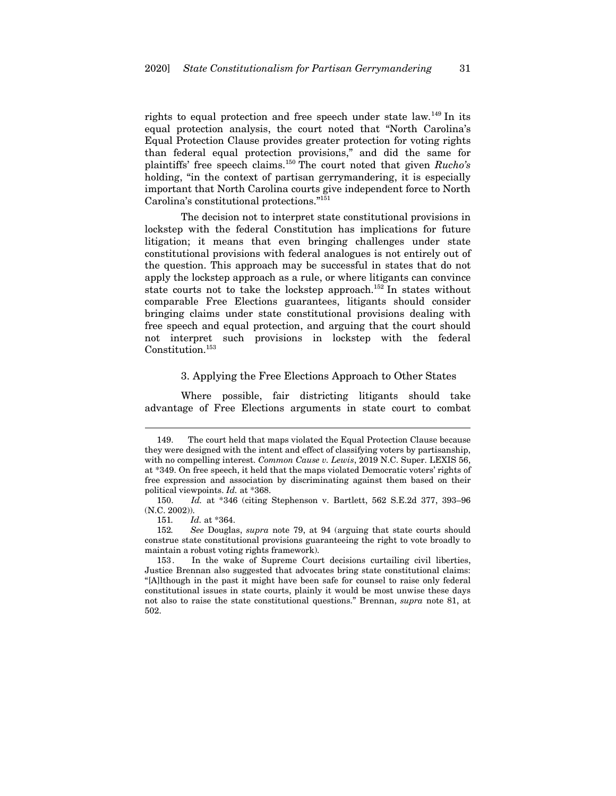rights to equal protection and free speech under state law*.* 149 In its equal protection analysis, the court noted that "North Carolina's Equal Protection Clause provides greater protection for voting rights than federal equal protection provisions," and did the same for plaintiffs' free speech claims.150 The court noted that given *Rucho's*  holding, "in the context of partisan gerrymandering, it is especially important that North Carolina courts give independent force to North Carolina's constitutional protections."151

The decision not to interpret state constitutional provisions in lockstep with the federal Constitution has implications for future litigation; it means that even bringing challenges under state constitutional provisions with federal analogues is not entirely out of the question. This approach may be successful in states that do not apply the lockstep approach as a rule, or where litigants can convince state courts not to take the lockstep approach.<sup>152</sup> In states without comparable Free Elections guarantees, litigants should consider bringing claims under state constitutional provisions dealing with free speech and equal protection, and arguing that the court should not interpret such provisions in lockstep with the federal Constitution.<sup>153</sup>

## 3. Applying the Free Elections Approach to Other States

Where possible, fair districting litigants should take advantage of Free Elections arguments in state court to combat

<sup>149.</sup> The court held that maps violated the Equal Protection Clause because they were designed with the intent and effect of classifying voters by partisanship, with no compelling interest. *Common Cause v. Lewis*, 2019 N.C. Super. LEXIS 56, at \*349. On free speech, it held that the maps violated Democratic voters' rights of free expression and association by discriminating against them based on their political viewpoints. *Id.* at \*368.

<sup>150</sup>*. Id.* at \*346 (citing Stephenson v. Bartlett, 562 S.E.2d 377, 393–96 (N.C. 2002)).

<sup>151</sup>*. Id.* at \*364.

<sup>152</sup>*. See* Douglas, *supra* note 79, at 94 (arguing that state courts should construe state constitutional provisions guaranteeing the right to vote broadly to maintain a robust voting rights framework).

<sup>153.</sup> In the wake of Supreme Court decisions curtailing civil liberties, Justice Brennan also suggested that advocates bring state constitutional claims: "[A]lthough in the past it might have been safe for counsel to raise only federal constitutional issues in state courts, plainly it would be most unwise these days not also to raise the state constitutional questions." Brennan, *supra* note 81, at 502.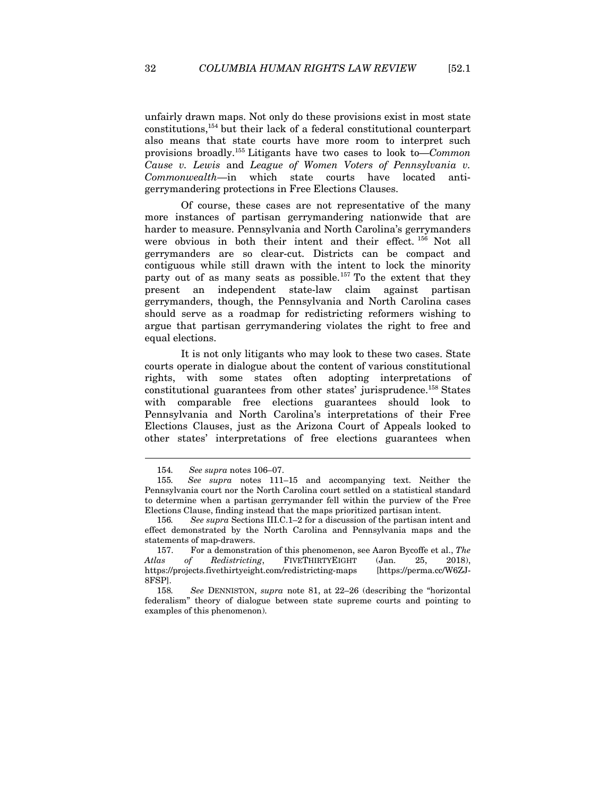unfairly drawn maps. Not only do these provisions exist in most state constitutions,154 but their lack of a federal constitutional counterpart also means that state courts have more room to interpret such provisions broadly.155 Litigants have two cases to look to—*Common Cause v. Lewis* and *League of Women Voters of Pennsylvania v. Commonwealth*—in which state courts have located antigerrymandering protections in Free Elections Clauses.

Of course, these cases are not representative of the many more instances of partisan gerrymandering nationwide that are harder to measure. Pennsylvania and North Carolina's gerrymanders were obvious in both their intent and their effect. 156 Not all gerrymanders are so clear-cut. Districts can be compact and contiguous while still drawn with the intent to lock the minority party out of as many seats as possible.<sup>157</sup> To the extent that they present an independent state-law claim against partisan gerrymanders, though, the Pennsylvania and North Carolina cases should serve as a roadmap for redistricting reformers wishing to argue that partisan gerrymandering violates the right to free and equal elections.

It is not only litigants who may look to these two cases. State courts operate in dialogue about the content of various constitutional rights, with some states often adopting interpretations of constitutional guarantees from other states' jurisprudence.158 States with comparable free elections guarantees should look to Pennsylvania and North Carolina's interpretations of their Free Elections Clauses, just as the Arizona Court of Appeals looked to other states' interpretations of free elections guarantees when

<sup>154</sup>*. See supra* notes 106–07.

<sup>155</sup>*. See supra* notes 111–15 and accompanying text. Neither the Pennsylvania court nor the North Carolina court settled on a statistical standard to determine when a partisan gerrymander fell within the purview of the Free Elections Clause, finding instead that the maps prioritized partisan intent.

<sup>156</sup>*. See supra* Sections III.C.1–2 for a discussion of the partisan intent and effect demonstrated by the North Carolina and Pennsylvania maps and the statements of map-drawers.

<sup>157.</sup> For a demonstration of this phenomenon, see Aaron Bycoffe et al., *The Atlas of Redistricting*, FIVETHIRTYEIGHT (Jan. 25, 2018), https://projects.fivethirtyeight.com/redistricting-maps [https://perma.cc/W6ZJ-8FSP].

<sup>158</sup>*. See* DENNISTON, *supra* note 81, at 22–26 (describing the "horizontal federalism" theory of dialogue between state supreme courts and pointing to examples of this phenomenon).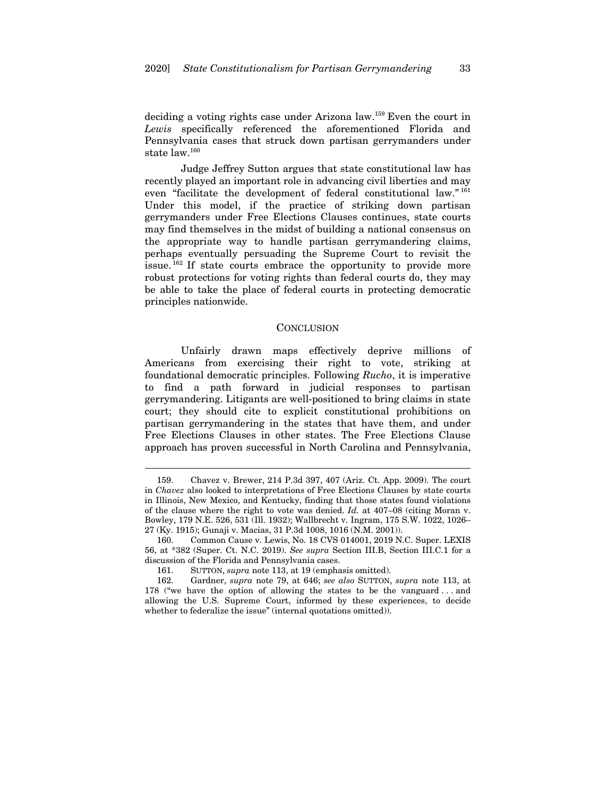deciding a voting rights case under Arizona law.159 Even the court in *Lewis* specifically referenced the aforementioned Florida and Pennsylvania cases that struck down partisan gerrymanders under state law.160

Judge Jeffrey Sutton argues that state constitutional law has recently played an important role in advancing civil liberties and may even "facilitate the development of federal constitutional law." <sup>161</sup> Under this model, if the practice of striking down partisan gerrymanders under Free Elections Clauses continues, state courts may find themselves in the midst of building a national consensus on the appropriate way to handle partisan gerrymandering claims, perhaps eventually persuading the Supreme Court to revisit the issue. 162 If state courts embrace the opportunity to provide more robust protections for voting rights than federal courts do, they may be able to take the place of federal courts in protecting democratic principles nationwide.

#### **CONCLUSION**

Unfairly drawn maps effectively deprive millions of Americans from exercising their right to vote, striking at foundational democratic principles. Following *Rucho*, it is imperative to find a path forward in judicial responses to partisan gerrymandering. Litigants are well-positioned to bring claims in state court; they should cite to explicit constitutional prohibitions on partisan gerrymandering in the states that have them, and under Free Elections Clauses in other states. The Free Elections Clause approach has proven successful in North Carolina and Pennsylvania,

<sup>159.</sup> Chavez v. Brewer, 214 P.3d 397, 407 (Ariz. Ct. App. 2009). The court in *Chavez* also looked to interpretations of Free Elections Clauses by state courts in Illinois, New Mexico, and Kentucky, finding that those states found violations of the clause where the right to vote was denied. *Id.* at 407–08 (citing Moran v. Bowley, 179 N.E. 526, 531 (Ill. 1932); Wallbrecht v. Ingram, 175 S.W. 1022, 1026– 27 (Ky. 1915); Gunaji v. Macias, 31 P.3d 1008, 1016 (N.M. 2001)).

<sup>160.</sup> Common Cause v. Lewis, No. 18 CVS 014001, 2019 N.C. Super. LEXIS 56, at \*382 (Super. Ct. N.C. 2019). *See supra* Section III.B, Section III.C.1 for a discussion of the Florida and Pennsylvania cases.

<sup>161.</sup> SUTTON, *supra* note 113, at 19 (emphasis omitted).

<sup>162.</sup> Gardner, *supra* note 79, at 646; *see also* SUTTON, *supra* note 113, at 178 ("we have the option of allowing the states to be the vanguard . . . and allowing the U.S. Supreme Court, informed by these experiences, to decide whether to federalize the issue" (internal quotations omitted)).